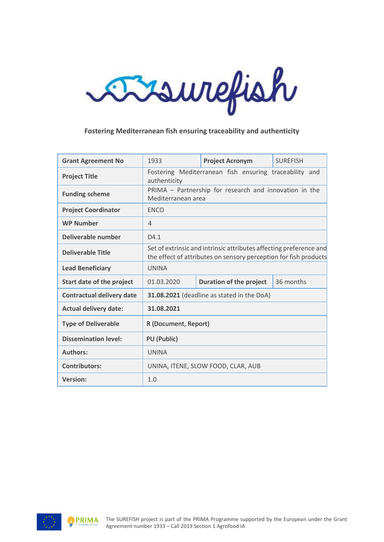

# **Fostering Mediterranean fish ensuring traceability and authenticity**

| <b>Grant Agreement No</b>        | 1933                                                                                                                                   | <b>Project Acronym</b>                                 | <b>SURFFISH</b> |  |
|----------------------------------|----------------------------------------------------------------------------------------------------------------------------------------|--------------------------------------------------------|-----------------|--|
| <b>Project Title</b>             | Fostering Mediterranean fish ensuring traceability and<br>authenticity                                                                 |                                                        |                 |  |
| <b>Funding scheme</b>            | Mediterranean area                                                                                                                     | PRIMA - Partnership for research and innovation in the |                 |  |
| <b>Project Coordinator</b>       | <b>ENCO</b>                                                                                                                            |                                                        |                 |  |
| <b>WP Number</b>                 | $\overline{4}$                                                                                                                         |                                                        |                 |  |
| Deliverable number               | D4.1                                                                                                                                   |                                                        |                 |  |
| <b>Deliverable Title</b>         | Set of extrinsic and intrinsic attributes affecting preference and<br>the effect of attributes on sensory perception for fish products |                                                        |                 |  |
| <b>Lead Beneficiary</b>          | <b>UNINA</b>                                                                                                                           |                                                        |                 |  |
| Start date of the project        | 01.03.2020                                                                                                                             | <b>Duration of the project</b>                         | 36 months       |  |
| <b>Contractual delivery date</b> |                                                                                                                                        | 31.08.2021 (deadline as stated in the DoA)             |                 |  |
| <b>Actual delivery date:</b>     | 31.08.2021                                                                                                                             |                                                        |                 |  |
| <b>Type of Deliverable</b>       | R (Document, Report)                                                                                                                   |                                                        |                 |  |
| <b>Dissemination level:</b>      | PU (Public)                                                                                                                            |                                                        |                 |  |
| <b>Authors:</b>                  | <b>UNINA</b>                                                                                                                           |                                                        |                 |  |
| <b>Contributors:</b>             | UNINA, ITENE, SLOW FOOD, CLAR, AUB                                                                                                     |                                                        |                 |  |
| <b>Version:</b>                  | 1.0                                                                                                                                    |                                                        |                 |  |

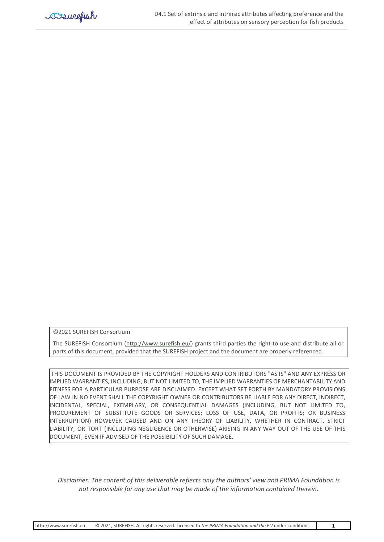

©2021 SUREFISH Consortium

The SUREFISH Consortium [\(http://www.surefish.eu/\)](http://www.surefish.eu/) grants third parties the right to use and distribute all or parts of this document, provided that the SUREFISH project and the document are properly referenced.

THIS DOCUMENT IS PROVIDED BY THE COPYRIGHT HOLDERS AND CONTRIBUTORS "AS IS" AND ANY EXPRESS OR IMPLIED WARRANTIES, INCLUDING, BUT NOT LIMITED TO, THE IMPLIED WARRANTIES OF MERCHANTABILITY AND FITNESS FOR A PARTICULAR PURPOSE ARE DISCLAIMED. EXCEPT WHAT SET FORTH BY MANDATORY PROVISIONS OF LAW IN NO EVENT SHALL THE COPYRIGHT OWNER OR CONTRIBUTORS BE LIABLE FOR ANY DIRECT, INDIRECT, INCIDENTAL, SPECIAL, EXEMPLARY, OR CONSEQUENTIAL DAMAGES (INCLUDING, BUT NOT LIMITED TO, PROCUREMENT OF SUBSTITUTE GOODS OR SERVICES; LOSS OF USE, DATA, OR PROFITS; OR BUSINESS INTERRUPTION) HOWEVER CAUSED AND ON ANY THEORY OF LIABILITY, WHETHER IN CONTRACT, STRICT LIABILITY, OR TORT (INCLUDING NEGLIGENCE OR OTHERWISE) ARISING IN ANY WAY OUT OF THE USE OF THIS DOCUMENT, EVEN IF ADVISED OF THE POSSIBILITY OF SUCH DAMAGE.

*Disclaimer: The content of this deliverable reflects only the authors' view and PRIMA Foundation is not responsible for any use that may be made of the information contained therein.*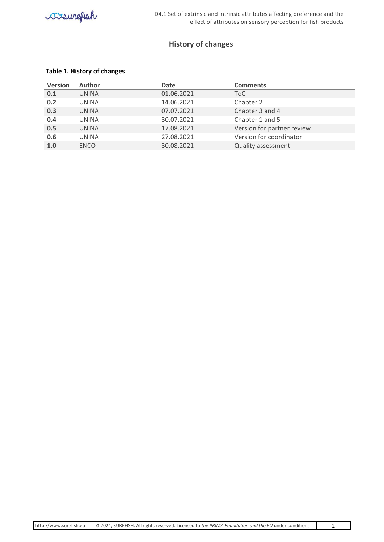# **History of changes**

# <span id="page-2-0"></span>**Table 1. History of changes**

| <b>Version</b> | <b>Author</b> | Date       | <b>Comments</b>            |
|----------------|---------------|------------|----------------------------|
| 0.1            | UNINA         | 01.06.2021 | ToC                        |
| 0.2            | UNINA         | 14.06.2021 | Chapter 2                  |
| 0.3            | UNINA         | 07.07.2021 | Chapter 3 and 4            |
| 0.4            | UNINA         | 30.07.2021 | Chapter 1 and 5            |
| 0.5            | UNINA         | 17.08.2021 | Version for partner review |
| 0.6            | UNINA         | 27.08.2021 | Version for coordinator    |
| 1.0            | <b>ENCO</b>   | 30.08.2021 | <b>Quality assessment</b>  |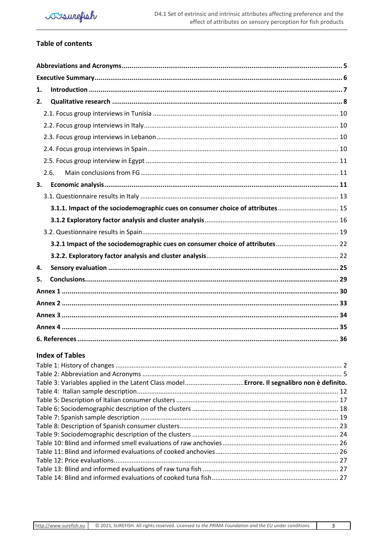# **Table of contents**

| 1. |                                                                                |  |
|----|--------------------------------------------------------------------------------|--|
| 2. |                                                                                |  |
|    |                                                                                |  |
|    |                                                                                |  |
|    |                                                                                |  |
|    |                                                                                |  |
|    |                                                                                |  |
|    | 2.6.                                                                           |  |
| 3. |                                                                                |  |
|    |                                                                                |  |
|    | 3.1.1. Impact of the sociodemographic cues on consumer choice of attributes 15 |  |
|    |                                                                                |  |
|    |                                                                                |  |
|    |                                                                                |  |
|    |                                                                                |  |
| 4. |                                                                                |  |
| 5. |                                                                                |  |
|    |                                                                                |  |
|    |                                                                                |  |
|    |                                                                                |  |
|    |                                                                                |  |
|    |                                                                                |  |

# **Index of Tables**

| Table 3: Variables applied in the Latent Class model Errore. Il segnalibro non è definito. |  |
|--------------------------------------------------------------------------------------------|--|
|                                                                                            |  |
|                                                                                            |  |
|                                                                                            |  |
|                                                                                            |  |
|                                                                                            |  |
|                                                                                            |  |
|                                                                                            |  |
|                                                                                            |  |
|                                                                                            |  |
|                                                                                            |  |
|                                                                                            |  |

 $\overline{3}$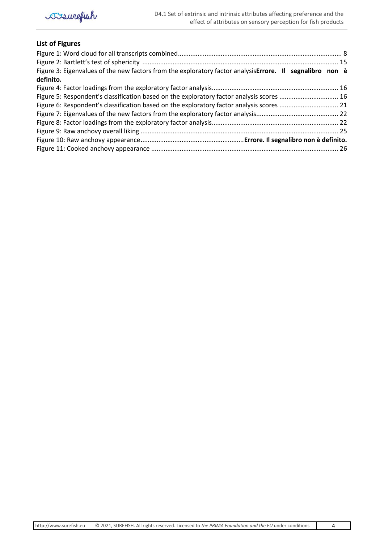

# **List of Figures**

| Figure 3: Eigenvalues of the new factors from the exploratory factor analysis Errore. Il segnalibro non è |  |
|-----------------------------------------------------------------------------------------------------------|--|
| definito.                                                                                                 |  |
|                                                                                                           |  |
| Figure 5: Respondent's classification based on the exploratory factor analysis scores  16                 |  |
|                                                                                                           |  |
|                                                                                                           |  |
|                                                                                                           |  |
|                                                                                                           |  |
|                                                                                                           |  |
|                                                                                                           |  |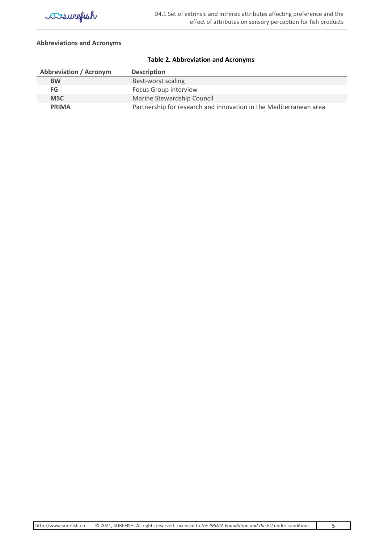

#### <span id="page-5-0"></span>**Abbreviations and Acronyms**

<span id="page-5-1"></span>

| <b>Abbreviation / Acronym</b> | <b>Description</b>                                                |
|-------------------------------|-------------------------------------------------------------------|
| <b>BW</b>                     | Best-worst scaling                                                |
| FG                            | <b>Focus Group interview</b>                                      |
| <b>MSC</b>                    | Marine Stewardship Council                                        |
| <b>PRIMA</b>                  | Partnership for research and innovation in the Mediterranean area |

#### **Table 2. Abbreviation and Acronyms**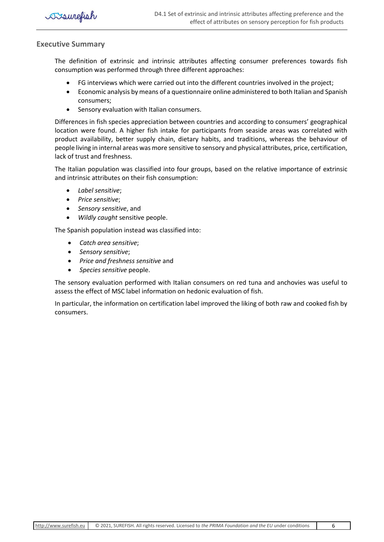

### <span id="page-6-0"></span>**Executive Summary**

The definition of extrinsic and intrinsic attributes affecting consumer preferences towards fish consumption was performed through three different approaches:

- FG interviews which were carried out into the different countries involved in the project;
- Economic analysis by means of a questionnaire online administered to both Italian and Spanish consumers;
- Sensory evaluation with Italian consumers.

Differences in fish species appreciation between countries and according to consumers' geographical location were found. A higher fish intake for participants from seaside areas was correlated with product availability, better supply chain, dietary habits, and traditions, whereas the behaviour of people living in internal areas was more sensitive to sensory and physical attributes, price, certification, lack of trust and freshness.

The Italian population was classified into four groups, based on the relative importance of extrinsic and intrinsic attributes on their fish consumption:

- *Label sensitive*;
- *Price sensitive*;
- *Sensory sensitive*, and
- *Wildly caught* sensitive people.

The Spanish population instead was classified into:

- *Catch area sensitive*;
- *Sensory sensitive*;
- *Price and freshness sensitive* and
- *Species sensitive* people.

The sensory evaluation performed with Italian consumers on red tuna and anchovies was useful to assess the effect of MSC label information on hedonic evaluation of fish.

In particular, the information on certification label improved the liking of both raw and cooked fish by consumers.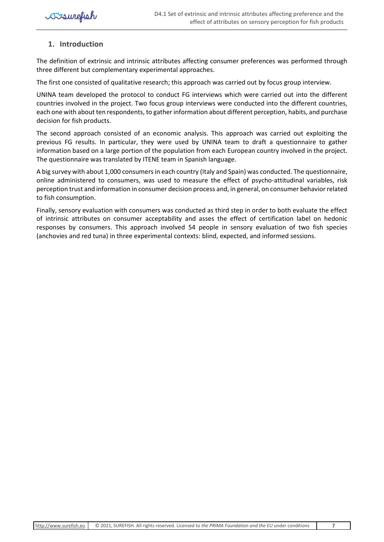# <span id="page-7-0"></span>**1. Introduction**

The definition of extrinsic and intrinsic attributes affecting consumer preferences was performed through three different but complementary experimental approaches.

The first one consisted of qualitative research; this approach was carried out by focus group interview.

UNINA team developed the protocol to conduct FG interviews which were carried out into the different countries involved in the project. Two focus group interviews were conducted into the different countries, each one with about ten respondents, to gather information about different perception, habits, and purchase decision for fish products.

The second approach consisted of an economic analysis. This approach was carried out exploiting the previous FG results. In particular, they were used by UNINA team to draft a questionnaire to gather information based on a large portion of the population from each European country involved in the project. The questionnaire was translated by ITENE team in Spanish language.

A big survey with about 1,000 consumers in each country (Italy and Spain) was conducted. The questionnaire, online administered to consumers, was used to measure the effect of psycho-attitudinal variables, risk perception trust and information in consumer decision process and, in general, on consumer behavior related to fish consumption.

Finally, sensory evaluation with consumers was conducted as third step in order to both evaluate the effect of intrinsic attributes on consumer acceptability and asses the effect of certification label on hedonic responses by consumers. This approach involved 54 people in sensory evaluation of two fish species (anchovies and red tuna) in three experimental contexts: blind, expected, and informed sessions.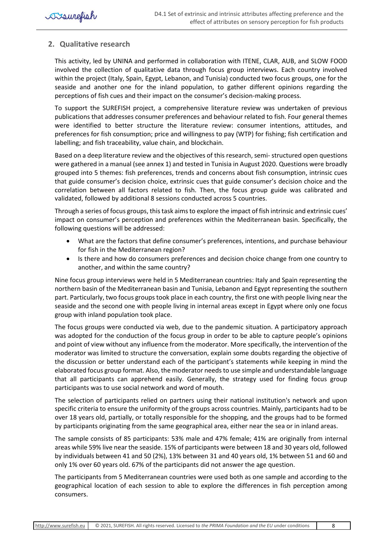# <span id="page-8-0"></span>**2. Qualitative research**

This activity, led by UNINA and performed in collaboration with ITENE, CLAR, AUB, and SLOW FOOD involved the collection of qualitative data through focus group interviews. Each country involved within the project (Italy, Spain, Egypt, Lebanon, and Tunisia) conducted two focus groups, one for the seaside and another one for the inland population, to gather different opinions regarding the perceptions of fish cues and their impact on the consumer's decision-making process.

To support the SUREFISH project, a comprehensive literature review was undertaken of previous publications that addresses consumer preferences and behaviour related to fish. Four general themes were identified to better structure the literature review: consumer intentions, attitudes, and preferences for fish consumption; price and willingness to pay (WTP) for fishing; fish certification and labelling; and fish traceability, value chain, and blockchain.

Based on a deep literature review and the objectives of this research, semi- structured open questions were gathered in a manual (see annex 1) and tested in Tunisia in August 2020. Questions were broadly grouped into 5 themes: fish preferences, trends and concerns about fish consumption, intrinsic cues that guide consumer's decision choice, extrinsic cues that guide consumer's decision choice and the correlation between all factors related to fish. Then, the focus group guide was calibrated and validated, followed by additional 8 sessions conducted across 5 countries.

Through a series of focus groups, this task aims to explore the impact of fish intrinsic and extrinsic cues' impact on consumer's perception and preferences within the Mediterranean basin. Specifically, the following questions will be addressed:

- What are the factors that define consumer's preferences, intentions, and purchase behaviour for fish in the Mediterranean region?
- Is there and how do consumers preferences and decision choice change from one country to another, and within the same country?

Nine focus group interviews were held in 5 Mediterranean countries: Italy and Spain representing the northern basin of the Mediterranean basin and Tunisia, Lebanon and Egypt representing the southern part. Particularly, two focus groups took place in each country, the first one with people living near the seaside and the second one with people living in internal areas except in Egypt where only one focus group with inland population took place.

The focus groups were conducted via web, due to the pandemic situation. A participatory approach was adopted for the conduction of the focus group in order to be able to capture people's opinions and point of view without any influence from the moderator. More specifically, the intervention of the moderator was limited to structure the conversation, explain some doubts regarding the objective of the discussion or better understand each of the participant's statements while keeping in mind the elaborated focus group format. Also, the moderator needs to use simple and understandable language that all participants can apprehend easily. Generally, the strategy used for finding focus group participants was to use social network and word of mouth.

The selection of participants relied on partners using their national institution's network and upon specific criteria to ensure the uniformity of the groups across countries. Mainly, participants had to be over 18 years old, partially, or totally responsible for the shopping, and the groups had to be formed by participants originating from the same geographical area, either near the sea or in inland areas.

The sample consists of 85 participants: 53% male and 47% female; 41% are originally from internal areas while 59% live near the seaside. 15% of participants were between 18 and 30 years old, followed by individuals between 41 and 50 (2%), 13% between 31 and 40 years old, 1% between 51 and 60 and only 1% over 60 years old. 67% of the participants did not answer the age question.

The participants from 5 Mediterranean countries were used both as one sample and according to the geographical location of each session to able to explore the differences in fish perception among consumers.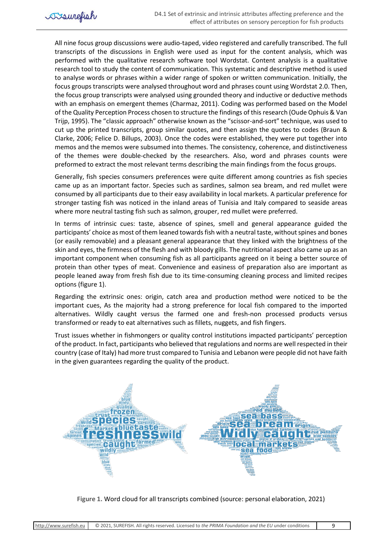All nine focus group discussions were audio-taped, video registered and carefully transcribed. The full transcripts of the discussions in English were used as input for the content analysis, which was performed with the qualitative research software tool Wordstat. Content analysis is a qualitative research tool to study the content of communication. This systematic and descriptive method is used to analyse words or phrases within a wider range of spoken or written communication. Initially, the focus groups transcripts were analysed throughout word and phrases count using Wordstat 2.0. Then, the focus group transcripts were analysed using grounded theory and inductive or deductive methods with an emphasis on emergent themes (Charmaz, 2011). Coding was performed based on the Model of the Quality Perception Process chosen to structure the findings of this research (Oude Ophuis & Van Trijp, 1995). The "classic approach" otherwise known as the "scissor-and-sort" technique, was used to cut up the printed transcripts, group similar quotes, and then assign the quotes to codes (Braun & Clarke, 2006; Felice D. Billups, 2003). Once the codes were established, they were put together into memos and the memos were subsumed into themes. The consistency, coherence, and distinctiveness of the themes were double-checked by the researchers. Also, word and phrases counts were preformed to extract the most relevant terms describing the main findings from the focus groups.

Generally, fish species consumers preferences were quite different among countries as fish species came up as an important factor. Species such as sardines, salmon sea bream, and red mullet were consumed by all participants due to their easy availability in local markets. A particular preference for stronger tasting fish was noticed in the inland areas of Tunisia and Italy compared to seaside areas where more neutral tasting fish such as salmon, grouper, red mullet were preferred.

In terms of intrinsic cues: taste, absence of spines, smell and general appearance guided the participants' choice as most of them leaned towards fish with a neutral taste, without spines and bones (or easily removable) and a pleasant general appearance that they linked with the brightness of the skin and eyes, the firmness of the flesh and with bloody gills. The nutritional aspect also came up as an important component when consuming fish as all participants agreed on it being a better source of protein than other types of meat. Convenience and easiness of preparation also are important as people leaned away from fresh fish due to its time-consuming cleaning process and limited recipes options (figure 1).

Regarding the extrinsic ones: origin, catch area and production method were noticed to be the important cues, As the majority had a strong preference for local fish compared to the imported alternatives. Wildly caught versus the farmed one and fresh-non processed products versus transformed or ready to eat alternatives such as fillets, nuggets, and fish fingers.

Trust issues whether in fishmongers or quality control institutions impacted participants' perception of the product. In fact, participants who believed that regulations and norms are well respected in their country (case of Italy) had more trust compared to Tunisia and Lebanon were people did not have faith in the given guarantees regarding the quality of the product.



**Figure 1.** Word cloud for all transcripts combined (source: personal elaboration, 2021)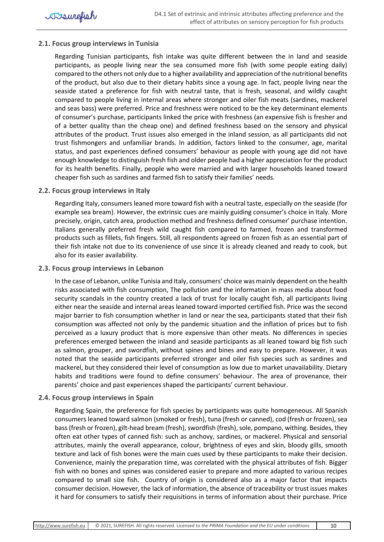## <span id="page-10-0"></span>**2.1. Focus group interviews in Tunisia**

Regarding Tunisian participants, fish intake was quite different between the in land and seaside participants, as people living near the sea consumed more fish (with some people eating daily) compared to the others not only due to a higher availability and appreciation of the nutritional benefits of the product, but also due to their dietary habits since a young age. In fact, people living near the seaside stated a preference for fish with neutral taste, that is fresh, seasonal, and wildly caught compared to people living in internal areas where stronger and oiler fish meats (sardines, mackerel and seas bass) were preferred. Price and freshness were noticed to be the key determinant elements of consumer's purchase, participants linked the price with freshness (an expensive fish is fresher and of a better quality than the cheap one) and defined freshness based on the sensory and physical attributes of the product. Trust issues also emerged in the inland session, as all participants did not trust fishmongers and unfamiliar brands. In addition, factors linked to the consumer, age, marital status, and past experiences defined consumers' behaviour as people with young age did not have enough knowledge to distinguish fresh fish and older people had a higher appreciation for the product for its health benefits. Finally, people who were married and with larger households leaned toward cheaper fish such as sardines and farmed fish to satisfy their families' needs.

### <span id="page-10-1"></span>**2.2. Focus group interviews in Italy**

Regarding Italy, consumers leaned more toward fish with a neutral taste, especially on the seaside (for example sea bream). However, the extrinsic cues are mainly guiding consumer's choice in Italy. More precisely, origin, catch area, production method and freshness defined consumer' purchase intention. Italians generally preferred fresh wild caught fish compared to farmed, frozen and transformed products such as fillets, fish fingers. Still, all respondents agreed on frozen fish as an essential part of their fish intake not due to its convenience of use since it is already cleaned and ready to cook, but also for its easier availability.

### <span id="page-10-2"></span>**2.3. Focus group interviews in Lebanon**

In the case of Lebanon, unlike Tunisia and Italy, consumers' choice was mainly dependent on the health risks associated with fish consumption, The pollution and the information in mass media about food security scandals in the country created a lack of trust for locally caught fish, all participants living either near the seaside and internal areas leaned toward imported certified fish. Price was the second major barrier to fish consumption whether in land or near the sea, participants stated that their fish consumption was affected not only by the pandemic situation and the inflation of prices but to fish perceived as a luxury product that is more expensive than other meats. No differences in species preferences emerged between the inland and seaside participants as all leaned toward big fish such as salmon, grouper, and swordfish, without spines and bines and easy to prepare. However, it was noted that the seaside participants preferred stronger and oiler fish species such as sardines and mackerel, but they considered their level of consumption as low due to market unavailability. Dietary habits and traditions were found to define consumers' behaviour. The area of provenance, their parents' choice and past experiences shaped the participants' current behaviour.

### <span id="page-10-3"></span>**2.4. Focus group interviews in Spain**

Regarding Spain, the preference for fish species by participants was quite homogeneous. All Spanish consumers leaned toward salmon (smoked or fresh), tuna (fresh or canned), cod (fresh or frozen), sea bass (fresh or frozen), gilt-head bream (fresh), swordfish (fresh), sole, pompano, withing. Besides, they often eat other types of canned fish: such as anchovy, sardines, or mackerel. Physical and sensorial attributes, mainly the overall appearance, colour, brightness of eyes and skin, bloody gills, smooth texture and lack of fish bones were the main cues used by these participants to make their decision. Convenience, mainly the preparation time, was correlated with the physical attributes of fish. Bigger fish with no bones and spines was considered easier to prepare and more adapted to various recipes compared to small size fish. Country of origin is considered also as a major factor that impacts consumer decision. However, the lack of information, the absence of traceability or trust issues makes it hard for consumers to satisfy their requisitions in terms of information about their purchase. Price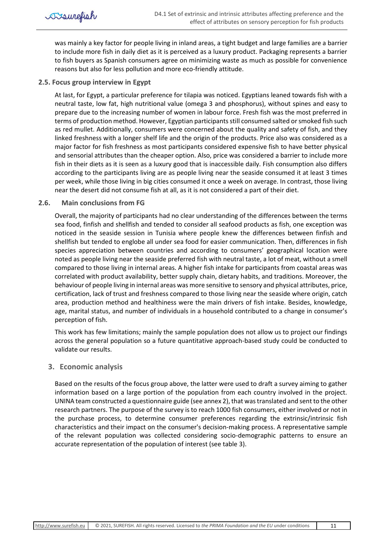was mainly a key factor for people living in inland areas, a tight budget and large families are a barrier to include more fish in daily diet as it is perceived as a luxury product. Packaging represents a barrier to fish buyers as Spanish consumers agree on minimizing waste as much as possible for convenience reasons but also for less pollution and more eco-friendly attitude.

## <span id="page-11-0"></span>**2.5. Focus group interview in Egypt**

At last, for Egypt, a particular preference for tilapia was noticed. Egyptians leaned towards fish with a neutral taste, low fat, high nutritional value (omega 3 and phosphorus), without spines and easy to prepare due to the increasing number of women in labour force. Fresh fish was the most preferred in terms of production method. However, Egyptian participants still consumed salted or smoked fish such as red mullet. Additionally, consumers were concerned about the quality and safety of fish, and they linked freshness with a longer shelf life and the origin of the products. Price also was considered as a major factor for fish freshness as most participants considered expensive fish to have better physical and sensorial attributes than the cheaper option. Also, price was considered a barrier to include more fish in their diets as it is seen as a luxury good that is inaccessible daily. Fish consumption also differs according to the participants living are as people living near the seaside consumed it at least 3 times per week, while those living in big cities consumed it once a week on average. In contrast, those living near the desert did not consume fish at all, as it is not considered a part of their diet.

### <span id="page-11-1"></span>**2.6. Main conclusions from FG**

Overall, the majority of participants had no clear understanding of the differences between the terms sea food, finfish and shellfish and tended to consider all seafood products as fish, one exception was noticed in the seaside session in Tunisia where people knew the differences between finfish and shellfish but tended to englobe all under sea food for easier communication. Then, differences in fish species appreciation between countries and according to consumers' geographical location were noted as people living near the seaside preferred fish with neutral taste, a lot of meat, without a smell compared to those living in internal areas. A higher fish intake for participants from coastal areas was correlated with product availability, better supply chain, dietary habits, and traditions. Moreover, the behaviour of people living in internal areas was more sensitive to sensory and physical attributes, price, certification, lack of trust and freshness compared to those living near the seaside where origin, catch area, production method and healthiness were the main drivers of fish intake. Besides, knowledge, age, marital status, and number of individuals in a household contributed to a change in consumer's perception of fish.

This work has few limitations; mainly the sample population does not allow us to project our findings across the general population so a future quantitative approach-based study could be conducted to validate our results.

# <span id="page-11-2"></span>**3. Economic analysis**

Based on the results of the focus group above, the latter were used to draft a survey aiming to gather information based on a large portion of the population from each country involved in the project. UNINA team constructed a questionnaire guide (see annex 2), that was translated and sent to the other research partners. The purpose of the survey is to reach 1000 fish consumers, either involved or not in the purchase process, to determine consumer preferences regarding the extrinsic/intrinsic fish characteristics and their impact on the consumer's decision-making process. A representative sample of the relevant population was collected considering socio-demographic patterns to ensure an accurate representation of the population of interest (see table 3).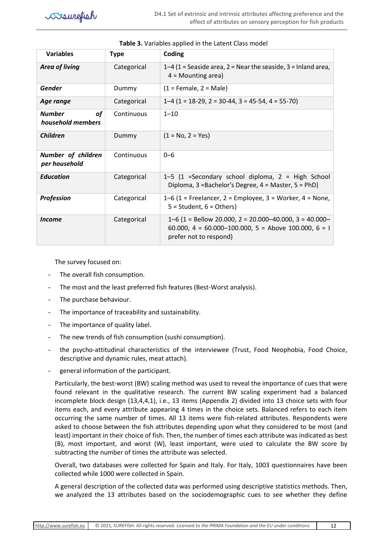| <b>Variables</b>                                | <b>Type</b> | Coding                                                                                                                                     |
|-------------------------------------------------|-------------|--------------------------------------------------------------------------------------------------------------------------------------------|
| <b>Area of living</b>                           | Categorical | 1–4 (1 = Seaside area, 2 = Near the seaside, 3 = Inland area,<br>$4 =$ Mounting area)                                                      |
| <b>Gender</b>                                   | Dummy       | $(1 =$ Female, $2 =$ Male)                                                                                                                 |
| Age range                                       | Categorical | $1-4$ (1 = 18-29, 2 = 30-44, 3 = 45-54, 4 = 55-70)                                                                                         |
| <b>of</b><br><b>Number</b><br>household members | Continuous  | $1 - 10$                                                                                                                                   |
| <b>Children</b>                                 | Dummy       | $(1 = No, 2 = Yes)$                                                                                                                        |
| Number of children<br>per household             | Continuous  | $0 - 6$                                                                                                                                    |
| <b>Education</b>                                | Categorical | 1-5 (1 =Secondary school diploma, 2 = High School<br>Diploma, 3 = Bachelor's Degree, 4 = Master, 5 = PhD)                                  |
| Profession                                      | Categorical | 1–6 (1 = Freelancer, 2 = Employee, 3 = Worker, 4 = None,<br>$5 = Student, 6 = Others$ )                                                    |
| <i>Income</i>                                   | Categorical | $1-6$ (1 = Bellow 20.000, 2 = 20.000-40.000, 3 = 40.000-<br>60.000, 4 = 60.000-100.000, 5 = Above 100.000, 6 = 1<br>prefer not to respond) |

#### **Table 3.** Variables applied in the Latent Class model

The survey focused on:

- The overall fish consumption.
- The most and the least preferred fish features (Best-Worst analysis).
- The purchase behaviour.
- The importance of traceability and sustainability.
- The importance of quality label.
- The new trends of fish consumption (sushi consumption).
- the psycho-attitudinal characteristics of the interviewee (Trust, Food Neophobia, Food Choice, descriptive and dynamic rules, meat attach).
- general information of the participant.

Particularly, the best-worst (BW) scaling method was used to reveal the importance of cues that were found relevant in the qualitative research. The current BW scaling experiment had a balanced incomplete block design (13,4,4,1), i.e., 13 items (Appendix 2) divided into 13 choice sets with four items each, and every attribute appearing 4 times in the choice sets. Balanced refers to each item occurring the same number of times. All 13 items were fish-related attributes. Respondents were asked to choose between the fish attributes depending upon what they considered to be most (and least) important in their choice of fish. Then, the number of times each attribute was indicated as best (B), most important, and worst (W), least important, were used to calculate the BW score by subtracting the number of times the attribute was selected.

Overall, two databases were collected for Spain and Italy. For Italy, 1003 questionnaires have been collected while 1000 were collected in Spain.

A general description of the collected data was performed using descriptive statistics methods. Then, we analyzed the 13 attributes based on the sociodemographic cues to see whether they define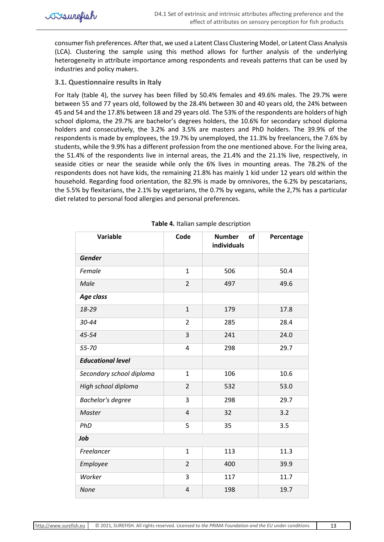

consumer fish preferences. After that, we used a Latent Class Clustering Model, or Latent Class Analysis (LCA). Clustering the sample using this method allows for further analysis of the underlying heterogeneity in attribute importance among respondents and reveals patterns that can be used by industries and policy makers.

## <span id="page-13-0"></span>**3.1. Questionnaire results in Italy**

For Italy (table 4), the survey has been filled by 50.4% females and 49.6% males. The 29.7% were between 55 and 77 years old, followed by the 28.4% between 30 and 40 years old, the 24% between 45 and 54 and the 17.8% between 18 and 29 years old. The 53% of the respondents are holders of high school diploma, the 29.7% are bachelor's degrees holders, the 10.6% for secondary school diploma holders and consecutively, the 3.2% and 3.5% are masters and PhD holders. The 39.9% of the respondents is made by employees, the 19.7% by unemployed, the 11.3% by freelancers, the 7.6% by students, while the 9.9% has a different profession from the one mentioned above. For the living area, the 51.4% of the respondents live in internal areas, the 21.4% and the 21.1% live, respectively, in seaside cities or near the seaside while only the 6% lives in mounting areas. The 78.2% of the respondents does not have kids, the remaining 21.8% has mainly 1 kid under 12 years old within the household. Regarding food orientation, the 82.9% is made by omnivores, the 6.2% by pescatarians, the 5.5% by flexitarians, the 2.1% by vegetarians, the 0.7% by vegans, while the 2,7% has a particular diet related to personal food allergies and personal preferences.

| <b>Variable</b>          | Code                    | of<br><b>Number</b><br>individuals | Percentage |
|--------------------------|-------------------------|------------------------------------|------------|
| <b>Gender</b>            |                         |                                    |            |
| Female                   | $\mathbf{1}$            | 506                                | 50.4       |
| Male                     | $\overline{2}$          | 497                                | 49.6       |
| Age class                |                         |                                    |            |
| 18-29                    | $\mathbf{1}$            | 179                                | 17.8       |
| 30-44                    | $\overline{2}$          | 285                                | 28.4       |
| 45-54                    | 3                       | 241                                | 24.0       |
| 55-70                    | 4                       | 298                                | 29.7       |
| <b>Educational level</b> |                         |                                    |            |
| Secondary school diploma | $\mathbf{1}$            | 106                                | 10.6       |
| High school diploma      | $\overline{2}$          | 532                                | 53.0       |
| <b>Bachelor's degree</b> | 3                       | 298                                | 29.7       |
| Master                   | $\overline{4}$          | 32                                 | 3.2        |
| PhD                      | 5                       | 35                                 | 3.5        |
| Job                      |                         |                                    |            |
| Freelancer               | $\mathbf{1}$            | 113                                | 11.3       |
| Employee                 | $\overline{2}$          | 400                                | 39.9       |
| Worker                   | 3                       | 117                                | 11.7       |
| <b>None</b>              | $\overline{\mathbf{4}}$ | 198                                | 19.7       |

**Table 4.** Italian sample description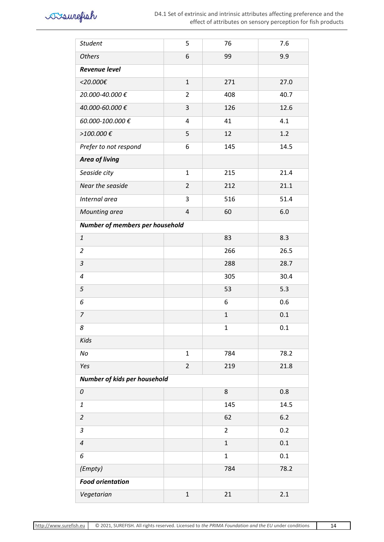

| <b>Student</b>                  | 5              | 76             | 7.6   |  |  |  |
|---------------------------------|----------------|----------------|-------|--|--|--|
| <b>Others</b>                   | 6              | 99             | 9.9   |  |  |  |
| <b>Revenue level</b>            |                |                |       |  |  |  |
| $<$ 20.000€                     | $\mathbf{1}$   | 271            | 27.0  |  |  |  |
| 20.000-40.000€                  | $\overline{2}$ | 408            | 40.7  |  |  |  |
| 40.000-60.000€                  | 3              | 126            | 12.6  |  |  |  |
| 60.000-100.000€                 | 4              | 41             | 4.1   |  |  |  |
| >100.000 €                      | 5              | 12             | 1.2   |  |  |  |
| Prefer to not respond           | 6              | 145            | 14.5  |  |  |  |
| <b>Area of living</b>           |                |                |       |  |  |  |
| Seaside city                    | $\mathbf{1}$   | 215            | 21.4  |  |  |  |
| Near the seaside                | $\overline{2}$ | 212            | 21.1  |  |  |  |
| Internal area                   | 3              | 516            | 51.4  |  |  |  |
| Mounting area                   | $\pmb{4}$      | 60             | 6.0   |  |  |  |
| Number of members per household |                |                |       |  |  |  |
| $\mathbf{1}$                    |                | 83             | 8.3   |  |  |  |
| $\overline{2}$                  |                | 266            | 26.5  |  |  |  |
| $\ensuremath{\mathsf{3}}$       |                | 288            | 28.7  |  |  |  |
| $\boldsymbol{4}$                |                | 305            | 30.4  |  |  |  |
| 5                               |                | 53             | 5.3   |  |  |  |
| 6                               |                | 6              | 0.6   |  |  |  |
| 7                               |                | $\mathbf 1$    | 0.1   |  |  |  |
| 8                               |                | $\mathbf{1}$   | 0.1   |  |  |  |
| Kids                            |                |                |       |  |  |  |
| No                              | $\mathbf{1}$   | 784            | 78.2  |  |  |  |
| Yes                             | $\overline{2}$ | 219            | 21.8  |  |  |  |
| Number of kids per household    |                |                |       |  |  |  |
| 0                               |                | 8              | 0.8   |  |  |  |
| $\mathbf{1}% _{T}$              |                | 145            | 14.5  |  |  |  |
| $\overline{2}$                  |                | 62             | $6.2$ |  |  |  |
| $\mathfrak{Z}$                  |                | $\overline{2}$ | 0.2   |  |  |  |
| $\pmb{4}$                       |                | $\mathbf{1}$   | 0.1   |  |  |  |
| 6                               |                | $\mathbf 1$    | 0.1   |  |  |  |
| (Empty)                         |                | 784            | 78.2  |  |  |  |
| <b>Food orientation</b>         |                |                |       |  |  |  |
| Vegetarian                      | $\mathbf 1$    | 21             | 2.1   |  |  |  |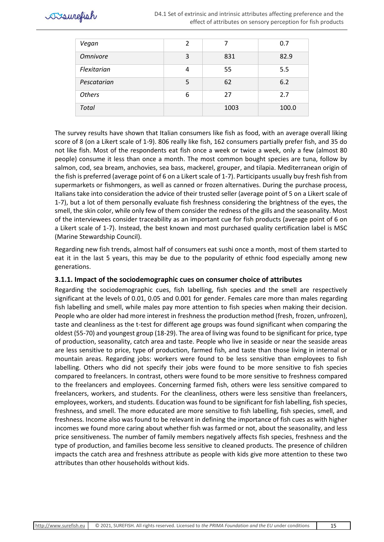

| Vegan           | $\mathcal{P}$ |      | 0.7   |
|-----------------|---------------|------|-------|
| <b>Omnivore</b> | 3             | 831  | 82.9  |
| Flexitarian     | 4             | 55   | 5.5   |
| Pescatarian     | 5             | 62   | 6.2   |
| <b>Others</b>   | 6             | 27   | 2.7   |
| <b>Total</b>    |               | 1003 | 100.0 |

The survey results have shown that Italian consumers like fish as food, with an average overall liking score of 8 (on a Likert scale of 1-9). 806 really like fish, 162 consumers partially prefer fish, and 35 do not like fish. Most of the respondents eat fish once a week or twice a week, only a few (almost 80 people) consume it less than once a month. The most common bought species are tuna, follow by salmon, cod, sea bream, anchovies, sea bass, mackerel, grouper, and tilapia. Mediterranean origin of the fish is preferred (average point of 6 on a Likert scale of 1-7). Participants usually buy fresh fish from supermarkets or fishmongers, as well as canned or frozen alternatives. During the purchase process, Italians take into consideration the advice of their trusted seller (average point of 5 on a Likert scale of 1-7), but a lot of them personally evaluate fish freshness considering the brightness of the eyes, the smell, the skin color, while only few of them consider the redness of the gills and the seasonality. Most of the interviewees consider traceability as an important cue for fish products (average point of 6 on a Likert scale of 1-7). Instead, the best known and most purchased quality certification label is MSC (Marine Stewardship Council).

Regarding new fish trends, almost half of consumers eat sushi once a month, most of them started to eat it in the last 5 years, this may be due to the popularity of ethnic food especially among new generations.

### <span id="page-15-0"></span>**3.1.1. Impact of the sociodemographic cues on consumer choice of attributes**

Regarding the sociodemographic cues, fish labelling, fish species and the smell are respectively significant at the levels of 0.01, 0.05 and 0.001 for gender. Females care more than males regarding fish labelling and smell, while males pay more attention to fish species when making their decision. People who are older had more interest in freshness the production method (fresh, frozen, unfrozen), taste and cleanliness as the t-test for different age groups was found significant when comparing the oldest (55-70) and youngest group (18-29). The area of living was found to be significant for price, type of production, seasonality, catch area and taste. People who live in seaside or near the seaside areas are less sensitive to price, type of production, farmed fish, and taste than those living in internal or mountain areas. Regarding jobs: workers were found to be less sensitive than employees to fish labelling. Others who did not specify their jobs were found to be more sensitive to fish species compared to freelancers. In contrast, others were found to be more sensitive to freshness compared to the freelancers and employees. Concerning farmed fish, others were less sensitive compared to freelancers, workers, and students. For the cleanliness, others were less sensitive than freelancers, employees, workers, and students. Education was found to be significant for fish labelling, fish species, freshness, and smell. The more educated are more sensitive to fish labelling, fish species, smell, and freshness. Income also was found to be relevant in defining the importance of fish cues as with higher incomes we found more caring about whether fish was farmed or not, about the seasonality, and less price sensitiveness. The number of family members negatively affects fish species, freshness and the type of production, and families become less sensitive to cleaned products. The presence of children impacts the catch area and freshness attribute as people with kids give more attention to these two attributes than other households without kids.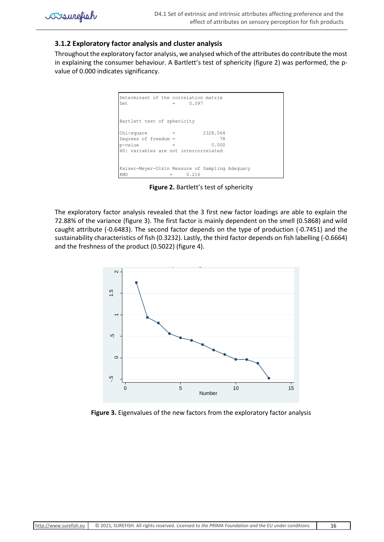

## <span id="page-16-0"></span>**3.1.2 Exploratory factor analysis and cluster analysis**

Throughout the exploratory factor analysis, we analysed which of the attributes do contribute the most in explaining the consumer behaviour. A Bartlett's test of sphericity (figure 2) was performed, the pvalue of 0.000 indicates significancy.



**Figure 2.** Bartlett's test of sphericity

The exploratory factor analysis revealed that the 3 first new factor loadings are able to explain the 72.88% of the variance (figure 3). The first factor is mainly dependent on the smell (0.5868) and wild caught attribute (-0.6483). The second factor depends on the type of production (-0.7451) and the sustainability characteristics of fish (0.3232). Lastly, the third factor depends on fish labelling (-0.6664) and the freshness of the product (0.5022) (figure 4).



**Figure 3.** Eigenvalues of the new factors from the exploratory factor analysis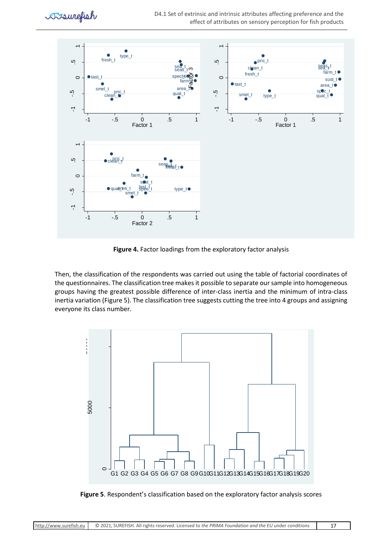



**Figure 4.** Factor loadings from the exploratory factor analysis

Then, the classification of the respondents was carried out using the table of factorial coordinates of the questionnaires. The classification tree makes it possible to separate our sample into homogeneous groups having the greatest possible difference of inter-class inertia and the minimum of intra-class inertia variation (Figure 5). The classification tree suggests cutting the tree into 4 groups and assigning everyone its class number.



**Figure 5**. Respondent's classification based on the exploratory factor analysis scores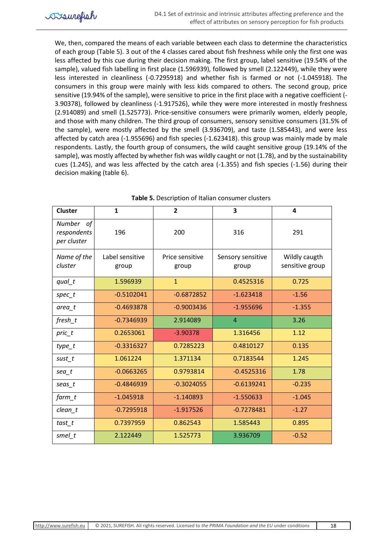We, then, compared the means of each variable between each class to determine the characteristics of each group (Table 5). 3 out of the 4 classes cared about fish freshness while only the first one was less affected by this cue during their decision making. The first group, label sensitive (19.54% of the sample), valued fish labelling in first place (1.596939), followed by smell (2.122449), while they were less interested in cleanliness (-0.7295918) and whether fish is farmed or not (-1.045918). The consumers in this group were mainly with less kids compared to others. The second group, price sensitive (19.94% of the sample), were sensitive to price in the first place with a negative coefficient (- 3.90378), followed by cleanliness (-1.917526), while they were more interested in mostly freshness (2.914089) and smell (1.525773). Price-sensitive consumers were primarily women, elderly people, and those with many children. The third group of consumers, sensory sensitive consumers (31.5% of the sample), were mostly affected by the smell (3.936709), and taste (1.585443), and were less affected by catch area (-1.955696) and fish species (-1.623418). this group was mainly made by male respondents. Lastly, the fourth group of consumers, the wild caught sensitive group (19.14% of the sample), was mostly affected by whether fish was wildly caught or not (1.78), and by the sustainability cues (1.245), and was less affected by the catch area (-1.355) and fish species (-1.56) during their decision making (table 6).

| <b>Cluster</b>                          | $\mathbf{1}$             | $\overline{2}$           | 3                          | 4                                |
|-----------------------------------------|--------------------------|--------------------------|----------------------------|----------------------------------|
| Number of<br>respondents<br>per cluster | 196                      | 200                      | 316                        | 291                              |
| Name of the<br>cluster                  | Label sensitive<br>group | Price sensitive<br>group | Sensory sensitive<br>group | Wildly caugth<br>sensitive group |
| $qual_t$                                | 1.596939                 | $\mathbf{1}$             | 0.4525316                  | 0.725                            |
| $spec_t$                                | $-0.5102041$             | $-0.6872852$             | $-1.623418$                | $-1.56$                          |
| area_t                                  | $-0.4693878$             | $-0.9003436$             | $-1.955696$                | $-1.355$                         |
| fresh t                                 | $-0.7346939$             | 2.914089                 | $\overline{4}$             | 3.26                             |
| $prior_t$                               | 0.2653061                | $-3.90378$               | 1.316456                   | 1.12                             |
| $type_t$                                | $-0.3316327$             | 0.7285223                | 0.4810127                  | 0.135                            |
| sust_t                                  | 1.061224                 | 1.371134                 | 0.7183544                  | 1.245                            |
| $sea$ t                                 | $-0.0663265$             | 0.9793814                | $-0.4525316$               | 1.78                             |
| seas_t                                  | $-0.4846939$             | $-0.3024055$             | $-0.6139241$               | $-0.235$                         |
| farm_t                                  | $-1.045918$              | $-1.140893$              | $-1.550633$                | $-1.045$                         |
| $clean_t$                               | $-0.7295918$             | $-1.917526$              | $-0.7278481$               | $-1.27$                          |
| tast_t                                  | 0.7397959                | 0.862543                 | 1.585443                   | 0.895                            |
| smel_t                                  | 2.122449                 | 1.525773                 | 3.936709                   | $-0.52$                          |

**Table 5.** Description of Italian consumer clusters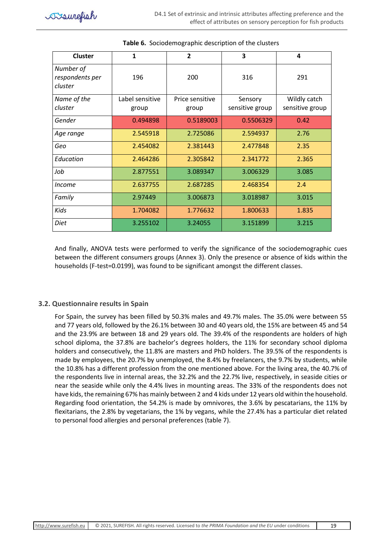| <b>Cluster</b>                          | $\mathbf{1}$             | $\overline{2}$           | 3                          | 4                               |
|-----------------------------------------|--------------------------|--------------------------|----------------------------|---------------------------------|
| Number of<br>respondents per<br>cluster | 196                      | 200                      | 316                        | 291                             |
| Name of the<br>cluster                  | Label sensitive<br>group | Price sensitive<br>group | Sensory<br>sensitive group | Wildly catch<br>sensitive group |
| Gender                                  | 0.494898                 | 0.5189003                | 0.5506329                  | 0.42                            |
| Age range                               | 2.545918                 | 2.725086                 | 2.594937                   | 2.76                            |
| Geo                                     | 2.454082                 | 2.381443                 | 2.477848                   | 2.35                            |
| Education                               | 2.464286                 | 2.305842                 | 2.341772                   | 2.365                           |
| Job                                     | 2.877551                 | 3.089347                 | 3.006329                   | 3.085                           |
| <i>Income</i>                           | 2.637755                 | 2.687285                 | 2.468354                   | 2.4                             |
| Family                                  | 2.97449                  | 3.006873                 | 3.018987                   | 3.015                           |
| Kids                                    | 1.704082                 | 1.776632                 | 1.800633                   | 1.835                           |
| Diet                                    | 3.255102                 | 3.24055                  | 3.151899                   | 3.215                           |

## **Table 6.** Sociodemographic description of the clusters

And finally, ANOVA tests were performed to verify the significance of the sociodemographic cues between the different consumers groups (Annex 3). Only the presence or absence of kids within the households (F-test=0.0199), was found to be significant amongst the different classes.

### <span id="page-19-0"></span>**3.2. Questionnaire results in Spain**

For Spain, the survey has been filled by 50.3% males and 49.7% males. The 35.0% were between 55 and 77 years old, followed by the 26.1% between 30 and 40 years old, the 15% are between 45 and 54 and the 23.9% are between 18 and 29 years old. The 39.4% of the respondents are holders of high school diploma, the 37.8% are bachelor's degrees holders, the 11% for secondary school diploma holders and consecutively, the 11.8% are masters and PhD holders. The 39.5% of the respondents is made by employees, the 20.7% by unemployed, the 8.4% by freelancers, the 9.7% by students, while the 10.8% has a different profession from the one mentioned above. For the living area, the 40.7% of the respondents live in internal areas, the 32.2% and the 22.7% live, respectively, in seaside cities or near the seaside while only the 4.4% lives in mounting areas. The 33% of the respondents does not have kids, the remaining 67% has mainly between 2 and 4 kids under 12 years old within the household. Regarding food orientation, the 54.2% is made by omnivores, the 3.6% by pescatarians, the 11% by flexitarians, the 2.8% by vegetarians, the 1% by vegans, while the 27.4% has a particular diet related to personal food allergies and personal preferences (table 7).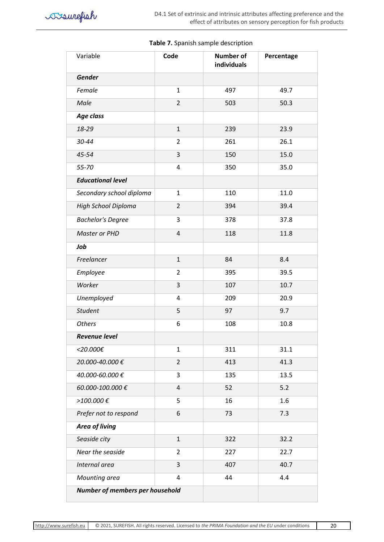| Variable                        | Code                     | <b>Number of</b><br>individuals | Percentage |
|---------------------------------|--------------------------|---------------------------------|------------|
| Gender                          |                          |                                 |            |
| Female                          | $\mathbf{1}$             | 497                             | 49.7       |
| Male                            | $\overline{2}$           | 503                             | 50.3       |
| Age class                       |                          |                                 |            |
| 18-29                           | $\mathbf{1}$             | 239                             | 23.9       |
| 30-44                           | $\overline{2}$           | 261                             | 26.1       |
| 45-54                           | 3                        | 150                             | 15.0       |
| 55-70                           | 4                        | 350                             | 35.0       |
| <b>Educational level</b>        |                          |                                 |            |
| Secondary school diploma        | $\mathbf{1}$             | 110                             | 11.0       |
| High School Diploma             | $\overline{2}$           | 394                             | 39.4       |
| <b>Bachelor's Degree</b>        | 3                        | 378                             | 37.8       |
| Master or PHD                   | $\overline{\mathcal{L}}$ | 118                             | 11.8       |
| Job                             |                          |                                 |            |
| Freelancer                      | $\mathbf{1}$             | 84                              | 8.4        |
| Employee                        | $\overline{2}$           | 395                             | 39.5       |
| Worker                          | 3                        | 107                             | 10.7       |
| Unemployed                      | 4                        | 209                             | 20.9       |
| Student                         | 5                        | 97                              | 9.7        |
| <b>Others</b>                   | 6                        | 108                             | 10.8       |
| <b>Revenue level</b>            |                          |                                 |            |
| <20.000€                        | 1                        | 311                             | 31.1       |
| 20.000-40.000€                  | $\overline{2}$           | 413                             | 41.3       |
| 40.000-60.000€                  | 3                        | 135                             | 13.5       |
| 60.000-100.000€                 | $\overline{4}$           | 52                              | 5.2        |
| >100.000€                       | 5                        | 16                              | 1.6        |
| Prefer not to respond           | 6                        | 73                              | 7.3        |
| Area of living                  |                          |                                 |            |
| Seaside city                    | $\mathbf{1}$             | 322                             | 32.2       |
| Near the seaside                | $\overline{2}$           | 227                             | 22.7       |
| Internal area                   | 3                        | 407                             | 40.7       |
| Mounting area                   | 4                        | 44                              | 4.4        |
| Number of members per household |                          |                                 |            |

#### **Table 7.** Spanish sample description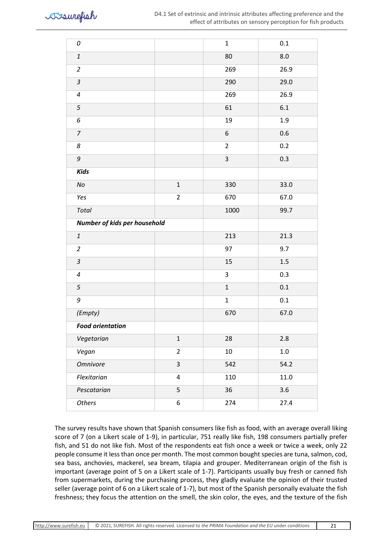

| 0                         |                              | $\mathbf 1$    | $0.1\,$ |  |  |
|---------------------------|------------------------------|----------------|---------|--|--|
| $\it 1$                   |                              | 80             | 8.0     |  |  |
| $\overline{2}$            |                              | 269            | 26.9    |  |  |
| $\mathfrak{Z}$            |                              | 290            | 29.0    |  |  |
| $\pmb{4}$                 |                              | 269            | 26.9    |  |  |
| 5                         |                              | 61             | 6.1     |  |  |
| $\epsilon$                |                              | 19             | 1.9     |  |  |
| $\boldsymbol{7}$          |                              | 6              | 0.6     |  |  |
| 8                         |                              | $\overline{2}$ | 0.2     |  |  |
| 9                         |                              | $\mathsf 3$    | 0.3     |  |  |
| <b>Kids</b>               |                              |                |         |  |  |
| $\it No$                  | $\mathbf{1}$                 | 330            | 33.0    |  |  |
| Yes                       | $\overline{2}$               | 670            | 67.0    |  |  |
| Total                     |                              | 1000           | 99.7    |  |  |
|                           | Number of kids per household |                |         |  |  |
| $\ensuremath{\mathbf{1}}$ |                              | 213            | 21.3    |  |  |
| $\overline{2}$            |                              | 97             | 9.7     |  |  |
| $\mathfrak{Z}$            |                              | 15             | 1.5     |  |  |
| $\pmb{4}$                 |                              | 3              | 0.3     |  |  |
| 5                         |                              | $\mathbf 1$    | $0.1\,$ |  |  |
| 9                         |                              | $\mathbf 1$    | $0.1\,$ |  |  |
| (Empty)                   |                              | 670            | 67.0    |  |  |
| <b>Food orientation</b>   |                              |                |         |  |  |
| Vegetarian                | $\mathbf{1}$                 | 28             | 2.8     |  |  |
| Vegan                     | $\overline{2}$               | 10             | $1.0\,$ |  |  |
| Omnivore                  | 3                            | 542            | 54.2    |  |  |
| Flexitarian               | 4                            | 110            | 11.0    |  |  |
| Pescatarian               | 5                            | 36             | 3.6     |  |  |
| <b>Others</b>             | 6                            | 274            | 27.4    |  |  |

The survey results have shown that Spanish consumers like fish as food, with an average overall liking score of 7 (on a Likert scale of 1-9), in particular, 751 really like fish, 198 consumers partially prefer fish, and 51 do not like fish. Most of the respondents eat fish once a week or twice a week, only 22 people consume it less than once per month. The most common bought species are tuna, salmon, cod, sea bass, anchovies, mackerel, sea bream, tilapia and grouper. Mediterranean origin of the fish is important (average point of 5 on a Likert scale of 1-7). Participants usually buy fresh or canned fish from supermarkets, during the purchasing process, they gladly evaluate the opinion of their trusted seller (average point of 6 on a Likert scale of 1-7), but most of the Spanish personally evaluate the fish freshness; they focus the attention on the smell, the skin color, the eyes, and the texture of the fish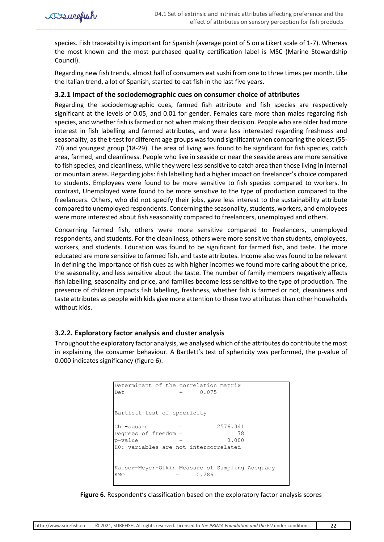

species. Fish traceability is important for Spanish (average point of 5 on a Likert scale of 1-7). Whereas the most known and the most purchased quality certification label is MSC (Marine Stewardship Council).

Regarding new fish trends, almost half of consumers eat sushi from one to three times per month. Like the Italian trend, a lot of Spanish, started to eat fish in the last five years.

## <span id="page-22-0"></span>**3.2.1 Impact of the sociodemographic cues on consumer choice of attributes**

Regarding the sociodemographic cues, farmed fish attribute and fish species are respectively significant at the levels of 0.05, and 0.01 for gender. Females care more than males regarding fish species, and whether fish is farmed or not when making their decision. People who are older had more interest in fish labelling and farmed attributes, and were less interested regarding freshness and seasonality, as the t-test for different age groups was found significant when comparing the oldest (55- 70) and youngest group (18-29). The area of living was found to be significant for fish species, catch area, farmed, and cleanliness. People who live in seaside or near the seaside areas are more sensitive to fish species, and cleanliness, while they were less sensitive to catch area than those living in internal or mountain areas. Regarding jobs: fish labelling had a higher impact on freelancer's choice compared to students. Employees were found to be more sensitive to fish species compared to workers. In contrast, Unemployed were found to be more sensitive to the type of production compared to the freelancers. Others, who did not specify their jobs, gave less interest to the sustainability attribute compared to unemployed respondents. Concerning the seasonality, students, workers, and employees were more interested about fish seasonality compared to freelancers, unemployed and others.

Concerning farmed fish, others were more sensitive compared to freelancers, unemployed respondents, and students. For the cleanliness, others were more sensitive than students, employees, workers, and students. Education was found to be significant for farmed fish, and taste. The more educated are more sensitive to farmed fish, and taste attributes. Income also was found to be relevant in defining the importance of fish cues as with higher incomes we found more caring about the price, the seasonality, and less sensitive about the taste. The number of family members negatively affects fish labelling, seasonality and price, and families become less sensitive to the type of production. The presence of children impacts fish labelling, freshness, whether fish is farmed or not, cleanliness and taste attributes as people with kids give more attention to these two attributes than other households without kids.

# <span id="page-22-1"></span>**3.2.2. Exploratory factor analysis and cluster analysis**

Throughout the exploratory factor analysis, we analysed which of the attributes do contribute the most in explaining the consumer behaviour. A Bartlett's test of sphericity was performed, the p-value of 0.000 indicates significancy (figure 6).

```
KMO = 0.286Kaiser-Meyer-Olkin Measure of Sampling Adequacy
H0: variables are not intercorrelated
p-value = 0.000Degrees of freedom = 78
Chi-square = 2576.341
Bartlett test of sphericity
Det = 0.075
Determinant of the correlation matrix
```
**Figure 6.** Respondent's classification based on the exploratory factor analysis scores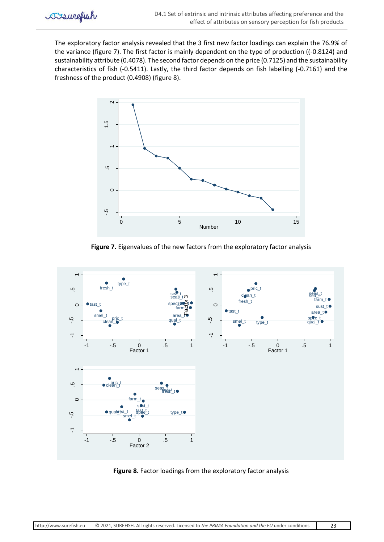The exploratory factor analysis revealed that the 3 first new factor loadings can explain the 76.9% of the variance (figure 7). The first factor is mainly dependent on the type of production ((-0.8124) and sustainability attribute (0.4078). The second factor depends on the price (0.7125) and the sustainability characteristics of fish (-0.5411). Lastly, the third factor depends on fish labelling (-0.7161) and the freshness of the product (0.4908) (figure 8).



**Figure 7.** Eigenvalues of the new factors from the exploratory factor analysis



**Figure 8.** Factor loadings from the exploratory factor analysis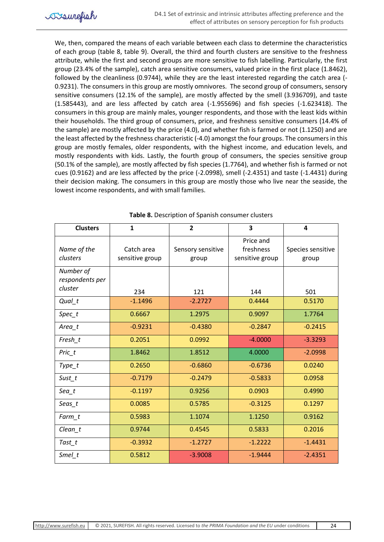We, then, compared the means of each variable between each class to determine the characteristics of each group (table 8, table 9). Overall, the third and fourth clusters are sensitive to the freshness attribute, while the first and second groups are more sensitive to fish labelling. Particularly, the first group (23.4% of the sample), catch area sensitive consumers, valued price in the first place (1.8462), followed by the cleanliness (0.9744), while they are the least interested regarding the catch area (- 0.9231). The consumers in this group are mostly omnivores. The second group of consumers, sensory sensitive consumers (12.1% of the sample), are mostly affected by the smell (3.936709), and taste (1.585443), and are less affected by catch area (-1.955696) and fish species (-1.623418). The consumers in this group are mainly males, younger respondents, and those with the least kids within their households. The third group of consumers, price, and freshness sensitive consumers (14.4% of the sample) are mostly affected by the price (4.0), and whether fish is farmed or not (1.1250) and are the least affected by the freshness characteristic (-4.0) amongst the four groups. The consumers in this group are mostly females, older respondents, with the highest income, and education levels, and mostly respondents with kids. Lastly, the fourth group of consumers, the species sensitive group (50.1% of the sample), are mostly affected by fish species (1.7764), and whether fish is farmed or not cues (0.9162) and are less affected by the price (-2.0998), smell (-2.4351) and taste (-1.4431) during their decision making. The consumers in this group are mostly those who live near the seaside, the lowest income respondents, and with small families.

| <b>Clusters</b>                         | $\mathbf{1}$                  | $\mathbf{2}$               | 3                                         | 4                          |
|-----------------------------------------|-------------------------------|----------------------------|-------------------------------------------|----------------------------|
| Name of the<br>clusters                 | Catch area<br>sensitive group | Sensory sensitive<br>group | Price and<br>freshness<br>sensitive group | Species sensitive<br>group |
| Number of<br>respondents per<br>cluster |                               |                            |                                           |                            |
| $Qual_t$                                | 234<br>$-1.1496$              | 121<br>$-2.2727$           | 144<br>0.4444                             | 501<br>0.5170              |
| $Spec_t$                                | 0.6667                        | 1.2975                     | 0.9097                                    | 1.7764                     |
| Area_t                                  | $-0.9231$                     | $-0.4380$                  | $-0.2847$                                 | $-0.2415$                  |
| Fresh_t                                 | 0.2051                        | 0.0992                     | $-4.0000$                                 | $-3.3293$                  |
| Pric_t                                  | 1.8462                        | 1.8512                     | 4.0000                                    | $-2.0998$                  |
| $Type_t$                                | 0.2650                        | $-0.6860$                  | $-0.6736$                                 | 0.0240                     |
| Sust_t                                  | $-0.7179$                     | $-0.2479$                  | $-0.5833$                                 | 0.0958                     |
| $Sea_t$                                 | $-0.1197$                     | 0.9256                     | 0.0903                                    | 0.4990                     |
| Seas_t                                  | 0.0085                        | 0.5785                     | $-0.3125$                                 | 0.1297                     |
| $Farm_t$                                | 0.5983                        | 1.1074                     | 1.1250                                    | 0.9162                     |
| $Clean_t$                               | 0.9744                        | 0.4545                     | 0.5833                                    | 0.2016                     |
| Tast_t                                  | $-0.3932$                     | $-1.2727$                  | $-1.2222$                                 | $-1.4431$                  |
| Smel_t                                  | 0.5812                        | $-3.9008$                  | $-1.9444$                                 | $-2.4351$                  |

**Table 8.** Description of Spanish consumer clusters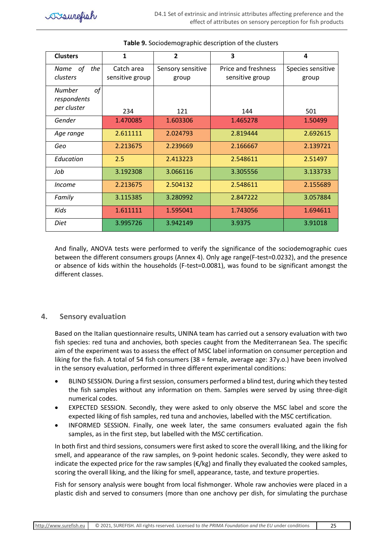| <b>Clusters</b>     | 1               | $\overline{2}$    | 3                   | 4                 |
|---------------------|-----------------|-------------------|---------------------|-------------------|
| Name of<br>the      | Catch area      | Sensory sensitive | Price and freshness | Species sensitive |
| clusters            | sensitive group | group             | sensitive group     | group             |
| of<br><b>Number</b> |                 |                   |                     |                   |
| respondents         |                 |                   |                     |                   |
| per cluster         | 234             | 121               | 144                 | 501               |
| Gender              | 1.470085        | 1.603306          | 1.465278            | 1.50499           |
| Age range           | 2.611111        | 2.024793          | 2.819444            | 2.692615          |
| Geo                 | 2.213675        | 2.239669          | 2.166667            | 2.139721          |
| Education           | 2.5             | 2.413223          | 2.548611            | 2.51497           |
| Job                 | 3.192308        | 3.066116          | 3.305556            | 3.133733          |
| <i>Income</i>       | 2.213675        | 2.504132          | 2.548611            | 2.155689          |
| Family              | 3.115385        | 3.280992          | 2.847222            | 3.057884          |
| Kids                | 1.611111        | 1.595041          | 1.743056            | 1.694611          |
| Diet                | 3.995726        | 3.942149          | 3.9375              | 3.91018           |

### **Table 9.** Sociodemographic description of the clusters

And finally, ANOVA tests were performed to verify the significance of the sociodemographic cues between the different consumers groups (Annex 4). Only age range(F-test=0.0232), and the presence or absence of kids within the households (F-test=0.0081), was found to be significant amongst the different classes.

# <span id="page-25-0"></span>**4. Sensory evaluation**

Based on the Italian questionnaire results, UNINA team has carried out a sensory evaluation with two fish species: red tuna and anchovies, both species caught from the Mediterranean Sea. The specific aim of the experiment was to assess the effect of MSC label information on consumer perception and liking for the fish. A total of 54 fish consumers (38 = female, average age: 37y.o.) have been involved in the sensory evaluation, performed in three different experimental conditions:

- BLIND SESSION. During a first session, consumers performed a blind test, during which they tested the fish samples without any information on them. Samples were served by using three-digit numerical codes.
- EXPECTED SESSION. Secondly, they were asked to only observe the MSC label and score the expected liking of fish samples, red tuna and anchovies, labelled with the MSC certification.
- INFORMED SESSION. Finally, one week later, the same consumers evaluated again the fish samples, as in the first step, but labelled with the MSC certification.

In both first and third sessions, consumers were first asked to score the overall liking, and the liking for smell, and appearance of the raw samples, on 9-point hedonic scales. Secondly, they were asked to indicate the expected price for the raw samples ( $E/kg$ ) and finally they evaluated the cooked samples, scoring the overall liking, and the liking for smell, appearance, taste, and texture properties.

Fish for sensory analysis were bought from local fishmonger. Whole raw anchovies were placed in a plastic dish and served to consumers (more than one anchovy per dish, for simulating the purchase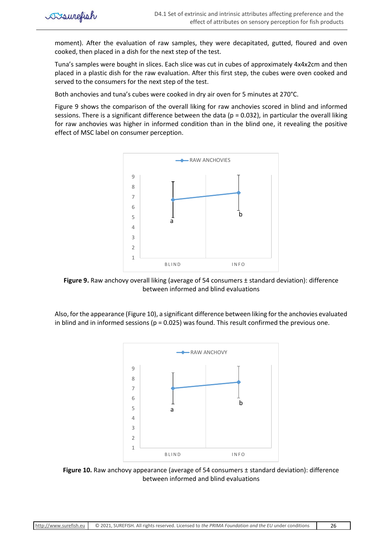moment). After the evaluation of raw samples, they were decapitated, gutted, floured and oven cooked, then placed in a dish for the next step of the test.

Tuna's samples were bought in slices. Each slice was cut in cubes of approximately 4x4x2cm and then placed in a plastic dish for the raw evaluation. After this first step, the cubes were oven cooked and served to the consumers for the next step of the test.

Both anchovies and tuna's cubes were cooked in dry air oven for 5 minutes at 270°C.

Figure 9 shows the comparison of the overall liking for raw anchovies scored in blind and informed sessions. There is a significant difference between the data ( $p = 0.032$ ), in particular the overall liking for raw anchovies was higher in informed condition than in the blind one, it revealing the positive effect of MSC label on consumer perception.



**Figure 9.** Raw anchovy overall liking (average of 54 consumers ± standard deviation): difference between informed and blind evaluations

Also, for the appearance (Figure 10), a significant difference between liking forthe anchovies evaluated in blind and in informed sessions ( $p = 0.025$ ) was found. This result confirmed the previous one.



**Figure 10.** Raw anchovy appearance (average of 54 consumers ± standard deviation): difference between informed and blind evaluations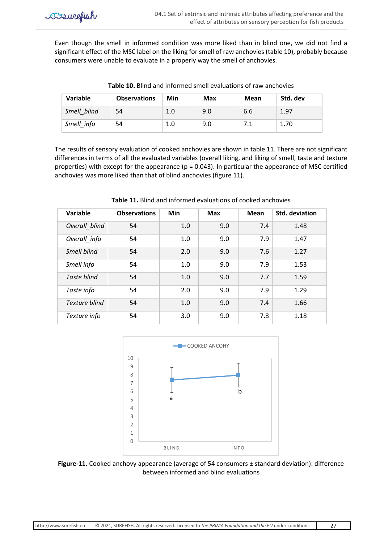Even though the smell in informed condition was more liked than in blind one, we did not find a significant effect of the MSC label on the liking for smell of raw anchovies (table 10), probably because consumers were unable to evaluate in a properly way the smell of anchovies.

| Variable    | <b>Observations</b> | Min | <b>Max</b> | Mean | Std. dev |
|-------------|---------------------|-----|------------|------|----------|
| Smell blind | 54                  | 1.0 | 9.0        | 6.6  | 1.97     |
| Smell info  | 54                  | 1.0 | 9.0        |      | 1.70     |

**Table 10.** Blind and informed smell evaluations of raw anchovies

The results of sensory evaluation of cooked anchovies are shown in table 11. There are not significant differences in terms of all the evaluated variables (overall liking, and liking of smell, taste and texture properties) with except for the appearance ( $p = 0.043$ ). In particular the appearance of MSC certified anchovies was more liked than that of blind anchovies (figure 11).

| Variable      | <b>Observations</b> | <b>Min</b> | <b>Max</b> | <b>Mean</b> | <b>Std. deviation</b> |
|---------------|---------------------|------------|------------|-------------|-----------------------|
| Overall blind | 54                  | 1.0        | 9.0        | 7.4         | 1.48                  |
| Overall_info  | 54                  | 1.0        | 9.0        | 7.9         | 1.47                  |
| Smell blind   | 54                  | 2.0        | 9.0        | 7.6         | 1.27                  |
| Smell info    | 54                  | 1.0        | 9.0        | 7.9         | 1.53                  |
| Taste blind   | 54                  | 1.0        | 9.0        | 7.7         | 1.59                  |
| Taste info    | 54                  | 2.0        | 9.0        | 7.9         | 1.29                  |
| Texture blind | 54                  | 1.0        | 9.0        | 7.4         | 1.66                  |
| Texture info  | 54                  | 3.0        | 9.0        | 7.8         | 1.18                  |

**Table 11.** Blind and informed evaluations of cooked anchovies



**Figure-11.** Cooked anchovy appearance (average of 54 consumers ± standard deviation): difference between informed and blind evaluations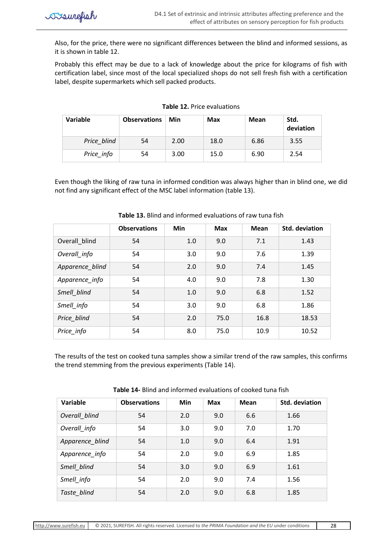Also, for the price, there were no significant differences between the blind and informed sessions, as it is shown in table 12.

Probably this effect may be due to a lack of knowledge about the price for kilograms of fish with certification label, since most of the local specialized shops do not sell fresh fish with a certification label, despite supermarkets which sell packed products.

| Variable    | <b>Observations</b> | Min  | <b>Max</b> | Mean | Std.<br>deviation |
|-------------|---------------------|------|------------|------|-------------------|
| Price blind | 54                  | 2.00 | 18.0       | 6.86 | 3.55              |
| Price_info  | 54                  | 3.00 | 15.0       | 6.90 | 2.54              |

#### **Table 12.** Price evaluations

Even though the liking of raw tuna in informed condition was always higher than in blind one, we did not find any significant effect of the MSC label information (table 13).

|                 | <b>Observations</b> | <b>Min</b> | <b>Max</b> | Mean | Std. deviation |
|-----------------|---------------------|------------|------------|------|----------------|
| Overall blind   | 54                  | 1.0        | 9.0        | 7.1  | 1.43           |
| Overall info    | 54                  | 3.0        | 9.0        | 7.6  | 1.39           |
| Apparence_blind | 54                  | 2.0        | 9.0        | 7.4  | 1.45           |
| Apparence_info  | 54                  | 4.0        | 9.0        | 7.8  | 1.30           |
| Smell blind     | 54                  | 1.0        | 9.0        | 6.8  | 1.52           |
| Smell info      | 54                  | 3.0        | 9.0        | 6.8  | 1.86           |
| Price blind     | 54                  | 2.0        | 75.0       | 16.8 | 18.53          |
| Price_info      | 54                  | 8.0        | 75.0       | 10.9 | 10.52          |

## **Table 13.** Blind and informed evaluations of raw tuna fish

The results of the test on cooked tuna samples show a similar trend of the raw samples, this confirms the trend stemming from the previous experiments (Table 14).

| Variable        | <b>Observations</b> | Min | Max | Mean | <b>Std. deviation</b> |
|-----------------|---------------------|-----|-----|------|-----------------------|
| Overall blind   | 54                  | 2.0 | 9.0 | 6.6  | 1.66                  |
| Overall_info    | 54                  | 3.0 | 9.0 | 7.0  | 1.70                  |
| Apparence blind | 54                  | 1.0 | 9.0 | 6.4  | 1.91                  |
| Apparence info  | 54                  | 2.0 | 9.0 | 6.9  | 1.85                  |
| Smell blind     | 54                  | 3.0 | 9.0 | 6.9  | 1.61                  |
| Smell info      | 54                  | 2.0 | 9.0 | 7.4  | 1.56                  |
| Taste blind     | 54                  | 2.0 | 9.0 | 6.8  | 1.85                  |

**Table 14-** Blind and informed evaluations of cooked tuna fish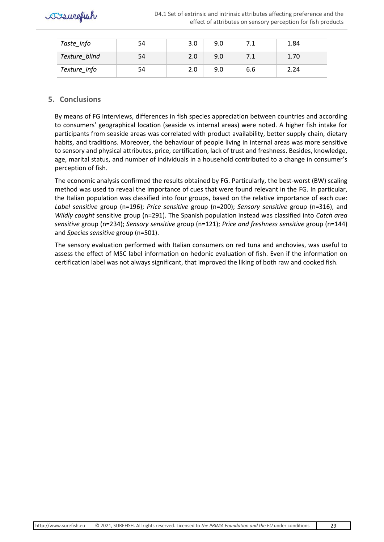

| Taste_info    | 54 | 3.0 | 9.0 | 7.1 | 1.84 |
|---------------|----|-----|-----|-----|------|
| Texture blind | 54 | 2.0 | 9.0 |     | 1.70 |
| Texture_info  | 54 | 2.0 | 9.0 | 6.6 | 2.24 |

# <span id="page-29-0"></span>**5. Conclusions**

By means of FG interviews, differences in fish species appreciation between countries and according to consumers' geographical location (seaside vs internal areas) were noted. A higher fish intake for participants from seaside areas was correlated with product availability, better supply chain, dietary habits, and traditions. Moreover, the behaviour of people living in internal areas was more sensitive to sensory and physical attributes, price, certification, lack of trust and freshness. Besides, knowledge, age, marital status, and number of individuals in a household contributed to a change in consumer's perception of fish.

The economic analysis confirmed the results obtained by FG. Particularly, the best-worst (BW) scaling method was used to reveal the importance of cues that were found relevant in the FG. In particular, the Italian population was classified into four groups, based on the relative importance of each cue: *Label sensitive* group (n=196); *Price sensitive* group (n=200); *Sensory sensitive* group (n=316), and *Wildly caught* sensitive group (n=291). The Spanish population instead was classified into *Catch area sensitive* group (n=234); *Sensory sensitive* group (n=121); *Price and freshness sensitive* group (n=144) and *Species sensitive* group (n=501).

The sensory evaluation performed with Italian consumers on red tuna and anchovies, was useful to assess the effect of MSC label information on hedonic evaluation of fish. Even if the information on certification label was not always significant, that improved the liking of both raw and cooked fish.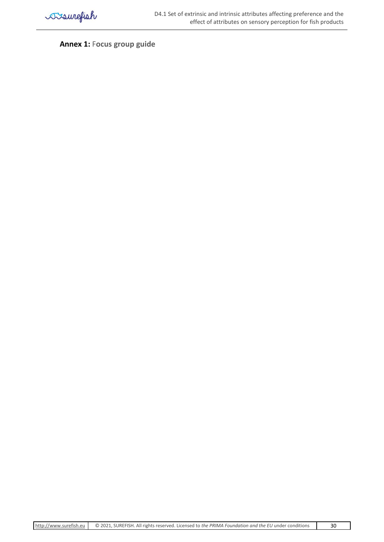

<span id="page-30-0"></span>**Annex 1:** F**ocus group guide**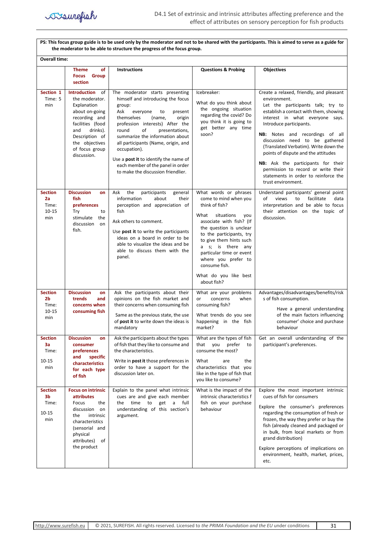

**PS: This focus group guide is to be used only by the moderator and not to be shared with the participants. This is aimed to serve as a guide for the moderator to be able to structure the progress of the focus group.**

| <b>Overall time:</b>                                          |                                                                                                                                                                                                           |                                                                                                                                                                                                                                                                                                                                                                                                                                               |                                                                                                                                                                                                                                                                                                                                              |                                                                                                                                                                                                                                                                                                                                                                                                                                                                                                              |  |  |
|---------------------------------------------------------------|-----------------------------------------------------------------------------------------------------------------------------------------------------------------------------------------------------------|-----------------------------------------------------------------------------------------------------------------------------------------------------------------------------------------------------------------------------------------------------------------------------------------------------------------------------------------------------------------------------------------------------------------------------------------------|----------------------------------------------------------------------------------------------------------------------------------------------------------------------------------------------------------------------------------------------------------------------------------------------------------------------------------------------|--------------------------------------------------------------------------------------------------------------------------------------------------------------------------------------------------------------------------------------------------------------------------------------------------------------------------------------------------------------------------------------------------------------------------------------------------------------------------------------------------------------|--|--|
|                                                               | of<br><b>Theme</b><br><b>Focus</b><br>Group<br>section                                                                                                                                                    | <b>Instructions</b>                                                                                                                                                                                                                                                                                                                                                                                                                           | <b>Questions &amp; Probing</b>                                                                                                                                                                                                                                                                                                               | <b>Objectives</b>                                                                                                                                                                                                                                                                                                                                                                                                                                                                                            |  |  |
| Section 1<br>Time: 5<br>min                                   | <b>Introduction</b><br>of<br>the moderator.<br>Explanation<br>about on-going<br>recording and<br>facilities (food<br>drinks).<br>and<br>Description of<br>the objectives<br>of focus group<br>discussion. | The moderator starts presenting<br>himself and introducing the focus<br>group:<br>Ask<br>to<br>everyone<br>present<br>themselves<br>(name,<br>origin<br>profession interests) After the<br>round<br>of<br>presentations,<br>summarize the information about<br>all participants (Name, origin, and<br>occupation).<br>Use a <b>post it</b> to identify the name of<br>each member of the panel in order<br>to make the discussion friendlier. | Icebreaker:<br>What do you think about<br>the ongoing situation<br>regarding the covid? Do<br>you think it is going to<br>get better any time<br>soon?                                                                                                                                                                                       | Create a relaxed, friendly, and pleasant<br>environment.<br>Let the participants talk; try to<br>establish a contact with them, showing<br>interest in what everyone says.<br>Introduce participants.<br>NB: Notes and recordings of all<br>discussion need to be gathered<br>(Translated Verbatim). Write down the<br>points of dispute and the attitudes<br><b>NB:</b> Ask the participants for their<br>permission to record or write their<br>statements in order to reinforce the<br>trust environment. |  |  |
| <b>Section</b><br>2a<br>Time:<br>$10 - 15$<br>min             | <b>Discussion</b><br>on<br>fish<br>preferences<br>Try<br>to<br>stimulate<br>the<br>discussion<br>on<br>fish.                                                                                              | the<br>Ask<br>participants<br>general<br>information<br>about<br>their<br>perception and appreciation of<br>fish<br>Ask others to comment.<br>Use post it to write the participants<br>ideas on a board in order to be<br>able to visualize the ideas and be<br>able to discuss them with the<br>panel.                                                                                                                                       | What words or phrases<br>come to mind when you<br>think of fish?<br>What<br>situations<br>you<br>associate with fish? (If<br>the question is unclear<br>to the participants, try<br>to give them hints such<br>a s; is there any<br>particular time or event<br>where you prefer to<br>consume fish.<br>What do you like best<br>about fish? | Understand participants' general point<br>views<br>to<br>facilitate<br>of<br>data<br>interpretation and be able to focus<br>their attention on the topic of<br>discussion.                                                                                                                                                                                                                                                                                                                                   |  |  |
| <b>Section</b><br>2 <sub>b</sub><br>Time:<br>$10 - 15$<br>min | <b>Discussion</b><br>on<br>trends<br>and<br>concerns when<br>consuming fish                                                                                                                               | Ask the participants about their<br>opinions on the fish market and<br>their concerns when consuming fish<br>Same as the previous state, the use<br>of post it to write down the ideas is<br>mandatory                                                                                                                                                                                                                                        | What are your problems<br>concerns<br>when<br>or<br>consuming fish?<br>What trends do you see<br>happening in the fish<br>market?                                                                                                                                                                                                            | Advantages/disadvantages/benefits/risk<br>s of fish consumption.<br>Have a general understanding<br>of the main factors influencing<br>consumer' choice and purchase<br>behaviour                                                                                                                                                                                                                                                                                                                            |  |  |
| <b>Section</b><br>3a<br>Time:<br>10-15<br>min                 | <b>Discussion</b><br>on<br>consumer<br>preferences<br>and<br>specific<br>characteristics<br>for each type<br>of fish                                                                                      | Ask the participants about the types<br>of fish that they like to consume and<br>the characteristics.<br>Write in <b>post it</b> those preferences in<br>order to have a support for the<br>discussion later on.                                                                                                                                                                                                                              | What are the types of fish<br>that you prefer to<br>consume the most?<br>What<br>the<br>are<br>characteristics that you<br>like in the type of fish that<br>you like to consume?                                                                                                                                                             | Get an overall understanding of the<br>participant's preferences.                                                                                                                                                                                                                                                                                                                                                                                                                                            |  |  |
| <b>Section</b><br>3b<br>Time:<br>$10 - 15$<br>min             | <b>Focus on intrinsic</b><br><b>attributes</b><br>Focus<br>the<br>discussion<br>on<br>intrinsic<br>the<br>characteristics<br>(sensorial and<br>physical<br>attributes) of<br>the product                  | Explain to the panel what intrinsic<br>cues are and give each member<br>the time to get<br>a full<br>understanding of this section's<br>argument.                                                                                                                                                                                                                                                                                             | What is the impact of the<br>intrinsic characteristics f<br>fish on your purchase<br>behaviour                                                                                                                                                                                                                                               | Explore the most important intrinsic<br>cues of fish for consumers<br>Explore the consumer's preferences<br>regarding the consumption of fresh or<br>frozen, the way they prefer or buy the<br>fish (already cleaned and packaged or<br>in bulk, from local markets or from<br>grand distribution)<br>Explore perceptions of implications on<br>environment, health, market, prices,<br>etc.                                                                                                                 |  |  |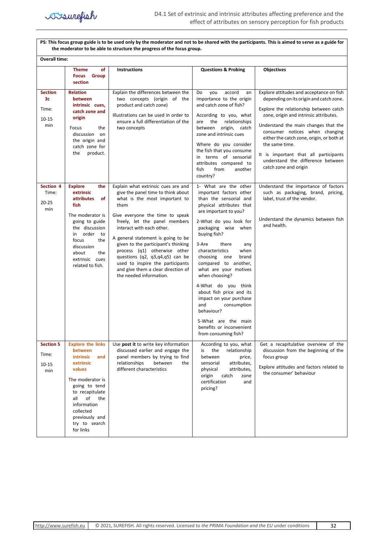

**PS: This focus group guide is to be used only by the moderator and not to be shared with the participants. This is aimed to serve as a guide for the moderator to be able to structure the progress of the focus group. Overall time: Theme of Focus Group section Instructions Questions & Probing Objectives Section 3c** Time: 10-15 min **Relation between intrinsic cues, catch zone and origin**  Focus the discussion on the origin and catch zone for the product. Explain the differences between the two concepts (origin of the product and catch zone) Illustrations can be used in order to ensure a full differentiation of the two concepts Do you accord an importance to the origin and catch zone of fish? According to you, what are the relationships between origin, catch zone and intrinsic cues Where do you consider the fish that you consume in terms of sensorial attributes compared to fish from another country? Explore attitudes and acceptance on fish depending on its origin and catch zone. Explore the relationship between catch zone, origin and intrinsic attributes. Understand the main changes that the consumer notices when changing either the catch zone, origin, or both at the same time. It is important that all participants understand the difference between catch zone and origin **Section 4 Explore the**  Time: 20-25 min **extrinsic attributes of fish**  The moderator is Explain what extrinsic cues are and  $\vert$  1- What are the other  $\vert$  Understand the importance of factors give the panel time to think about what is the most important to them Give everyone the time to speak important factors other than the sensorial and physical attributes that are important to you? such as packaging, brand, pricing, label, trust of the vendor. Understand the dynamics between fish

| Time:<br>$20 - 25$<br>min                     | extrinsic<br>of<br><b>attributes</b><br>fish<br>The moderator is<br>going to guide<br>the discussion<br>order to<br>in<br>the<br>focus<br>discussion<br>about<br>the<br>extrinsic cues<br>related to fish.                                    | give the panel time to think about<br>what is the most important to<br>them<br>Give everyone the time to speak<br>freely, let the panel members<br>interact with each other.<br>A general statement is going to be<br>given to the participant's thinking<br>process (q1) otherwise other<br>questions (q2, q3,q4,q5) can be<br>used to inspire the participants<br>and give them a clear direction of<br>the needed information. | important factors other<br>than the sensorial and<br>physical attributes that<br>are important to you?<br>2-What do you look for<br>packaging wise when<br>buying fish?<br>3-Are<br>there<br>any<br>characteristics<br>when<br>choosing<br>brand<br>one<br>compared to another,<br>what are your motives<br>when choosing? | such as packaging, brand, pricing,<br>label, trust of the vendor.<br>Understand the dynamics between fish<br>and health.                                           |
|-----------------------------------------------|-----------------------------------------------------------------------------------------------------------------------------------------------------------------------------------------------------------------------------------------------|-----------------------------------------------------------------------------------------------------------------------------------------------------------------------------------------------------------------------------------------------------------------------------------------------------------------------------------------------------------------------------------------------------------------------------------|----------------------------------------------------------------------------------------------------------------------------------------------------------------------------------------------------------------------------------------------------------------------------------------------------------------------------|--------------------------------------------------------------------------------------------------------------------------------------------------------------------|
|                                               |                                                                                                                                                                                                                                               |                                                                                                                                                                                                                                                                                                                                                                                                                                   | 4-What do you think<br>about fish price and its<br>impact on your purchase<br>and<br>consumption<br>behaviour?<br>5-What are the main<br>benefits or inconvenient<br>from consuming fish?                                                                                                                                  |                                                                                                                                                                    |
| <b>Section 5</b><br>Time:<br>$10 - 15$<br>min | <b>Explore the links</b><br>between<br><i>intrinsic</i><br>and<br>extrinsic<br>values<br>The moderator is<br>going to tend<br>to recapitulate<br>of<br>the<br>all<br>information<br>collected<br>previously and<br>try to search<br>for links | Use post it to write key information<br>discussed earlier and engage the<br>panel members by trying to find<br>relationships<br>between<br>the<br>different characteristics                                                                                                                                                                                                                                                       | According to you, what<br>the<br>relationship<br>is<br>between<br>price,<br>sensorial<br>attributes,<br>attributes,<br>physical<br>origin<br>catch<br>zone<br>certification<br>and<br>pricing?                                                                                                                             | Get a recapitulative overview of the<br>discussion from the beginning of the<br>focus group<br>Explore attitudes and factors related to<br>the consumer' behaviour |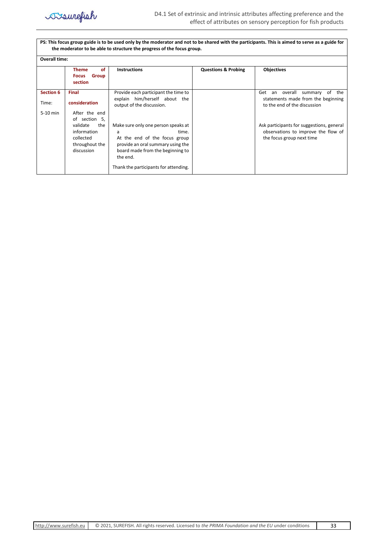

**PS: This focus group guide is to be used only by the moderator and not to be shared with the participants. This is aimed to serve as a guide for the moderator to be able to structure the progress of the focus group.**

| Overall time: |                                                                                              |                                                                                                                                                                                                                  |                                |                                                                                                               |
|---------------|----------------------------------------------------------------------------------------------|------------------------------------------------------------------------------------------------------------------------------------------------------------------------------------------------------------------|--------------------------------|---------------------------------------------------------------------------------------------------------------|
|               | of<br><b>Theme</b><br><b>Group</b><br><b>Focus</b><br>section                                | <b>Instructions</b>                                                                                                                                                                                              | <b>Questions &amp; Probing</b> | <b>Objectives</b>                                                                                             |
| Section 6     | <b>Final</b>                                                                                 | Provide each participant the time to                                                                                                                                                                             |                                | overall<br>Get<br>of<br>the<br>summary<br>an                                                                  |
| Time:         | consideration                                                                                | explain him/herself about the<br>output of the discussion.                                                                                                                                                       |                                | statements made from the beginning<br>to the end of the discussion                                            |
| 5-10 min      | After the end                                                                                |                                                                                                                                                                                                                  |                                |                                                                                                               |
|               | of section 5,<br>the<br>validate<br>information<br>collected<br>throughout the<br>discussion | Make sure only one person speaks at<br>time.<br>a<br>At the end of the focus group<br>provide an oral summary using the<br>board made from the beginning to<br>the end.<br>Thank the participants for attending. |                                | Ask participants for suggestions, general<br>observations to improve the flow of<br>the focus group next time |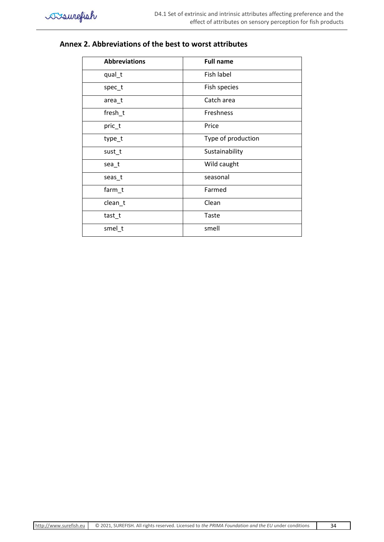# **Annex 2. Abbreviations of the best to worst attributes**

| <b>Abbreviations</b> | <b>Full name</b>   |
|----------------------|--------------------|
| qual_t               | Fish label         |
| spec_t               | Fish species       |
| area_t               | Catch area         |
| fresh_t              | Freshness          |
| pric_t               | Price              |
| type_t               | Type of production |
| sust_t               | Sustainability     |
| sea_t                | Wild caught        |
| seas_t               | seasonal           |
| farm_t               | Farmed             |
| clean_t              | Clean              |
| tast_t               | Taste              |
| smel_t               | smell              |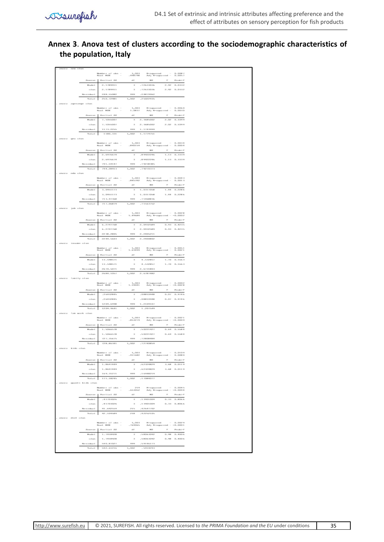# **Annex 3**. **Anova test of clusters according to the sociodemographic characteristics of the population, Italy**

|             |                            |                      | Montany of obs. -<br>Root M2R                                                                                                                                                                                                                                                                                                                                                                                                                                                        | sco.r<br>Series         |                               | R-siquares1 -<br>All) R-siquares1 -                                                                         | 0.0087<br>0.0057                     |
|-------------|----------------------------|----------------------|--------------------------------------------------------------------------------------------------------------------------------------------------------------------------------------------------------------------------------------------------------------------------------------------------------------------------------------------------------------------------------------------------------------------------------------------------------------------------------------|-------------------------|-------------------------------|-------------------------------------------------------------------------------------------------------------|--------------------------------------|
|             |                            | Ziona e cun-         | Partial SS                                                                                                                                                                                                                                                                                                                                                                                                                                                                           | $61\%$                  | per:                          | $\mathcal{F}$                                                                                               | Profit-7                             |
|             |                            | Mainley I            | 2.1789911                                                                                                                                                                                                                                                                                                                                                                                                                                                                            | $\mathcal{R}$           | -72633036                     | $2 - 92$                                                                                                    | $0 - 0.882$                          |
|             |                            | 63,346,6             | 2.1789911                                                                                                                                                                                                                                                                                                                                                                                                                                                                            | $\mathcal{R}$           | -72633036                     |                                                                                                             | 2.92 0.0332                          |
|             |                            |                      |                                                                                                                                                                                                                                                                                                                                                                                                                                                                                      |                         |                               |                                                                                                             |                                      |
|             |                            | No sciedade l        | 248.10082                                                                                                                                                                                                                                                                                                                                                                                                                                                                            | 999                     | $-24879962$                   |                                                                                                             |                                      |
|             |                            | To Call              | 250.72981                                                                                                                                                                                                                                                                                                                                                                                                                                                                            | 1,002                   | .25022935                     |                                                                                                             |                                      |
|             | errange olas               |                      |                                                                                                                                                                                                                                                                                                                                                                                                                                                                                      |                         |                               |                                                                                                             |                                      |
|             |                            |                      | Number F of clien -                                                                                                                                                                                                                                                                                                                                                                                                                                                                  | 1,000                   |                               | 8-лараателі — 0.0060<br>Ad) 8-лараателі — 0.0030                                                            |                                      |
|             |                            |                      | Read F. MIN                                                                                                                                                                                                                                                                                                                                                                                                                                                                          | 1.0837                  |                               |                                                                                                             |                                      |
|             |                            | <b>Ziona monte</b>   | Partial SE                                                                                                                                                                                                                                                                                                                                                                                                                                                                           | 417                     | perc                          | $\mathcal{P}$                                                                                               | Proto-F                              |
|             |                            | Made 1               | 7.1055007                                                                                                                                                                                                                                                                                                                                                                                                                                                                            | $\mathcal{R}$           | 2.3685002                     | 2.02                                                                                                        | 0.1099                               |
|             |                            | $63.3$ islams        | 7.10550027                                                                                                                                                                                                                                                                                                                                                                                                                                                                           | $\mathcal{R}$           | 2.3685002                     |                                                                                                             | $2.02 - 0.1099$                      |
|             |                            | No sciedade l        | 1173.2255                                                                                                                                                                                                                                                                                                                                                                                                                                                                            | 121212                  | 1.1742000                     |                                                                                                             |                                      |
|             |                            | To La L              |                                                                                                                                                                                                                                                                                                                                                                                                                                                                                      |                         |                               |                                                                                                             |                                      |
|             |                            |                      | 1180.331                                                                                                                                                                                                                                                                                                                                                                                                                                                                             | 1,002                   | 1.1779751                     |                                                                                                             |                                      |
|             | No citizen                 |                      |                                                                                                                                                                                                                                                                                                                                                                                                                                                                                      |                         |                               |                                                                                                             |                                      |
|             |                            |                      | Monther F. off, other -                                                                                                                                                                                                                                                                                                                                                                                                                                                              | 1,002                   |                               | $\begin{tabular}{ll} B-saparcol & - & 0.0034 \\ M1 & B-saparcol & - & 0.0034 \end{tabular}$                 |                                      |
|             |                            |                      | Read: MIX                                                                                                                                                                                                                                                                                                                                                                                                                                                                            | .892159                 |                               |                                                                                                             |                                      |
|             |                            | <b>Zelectrician</b>  | Partiel SS                                                                                                                                                                                                                                                                                                                                                                                                                                                                           | $61\%$                  | per:                          | $\mathcal{P}$                                                                                               | Proto-9                              |
|             |                            | Marchet II           | 2.6976674                                                                                                                                                                                                                                                                                                                                                                                                                                                                            | $\mathcal{R}$           | , 89922246                    | $1 - 1.2$                                                                                                   | 0.3889                               |
|             |                            | $65.3$ highly        | 2.6976674                                                                                                                                                                                                                                                                                                                                                                                                                                                                            | $\rightarrow$           | .89822246                     |                                                                                                             | 1.13 0.3339                          |
|             |                            | No sciedade l        | 791.59147                                                                                                                                                                                                                                                                                                                                                                                                                                                                            | 999                     | $-792.8888h$                  |                                                                                                             |                                      |
|             |                            |                      |                                                                                                                                                                                                                                                                                                                                                                                                                                                                                      |                         |                               |                                                                                                             |                                      |
|             |                            | To La 1              | 794.28913                                                                                                                                                                                                                                                                                                                                                                                                                                                                            | 1,002                   | 79270878                      |                                                                                                             |                                      |
|             | esta otan                  |                      |                                                                                                                                                                                                                                                                                                                                                                                                                                                                                      |                         |                               |                                                                                                             |                                      |
|             |                            |                      |                                                                                                                                                                                                                                                                                                                                                                                                                                                                                      | seniver                 |                               | $\begin{tabular}{ll} B-sapaxreal & - & 0.0043 \\ \text{Ad} & B-sapax real & - & 0.0013 \\ \end{tabular}$    |                                      |
|             |                            |                      |                                                                                                                                                                                                                                                                                                                                                                                                                                                                                      |                         |                               |                                                                                                             |                                      |
|             |                            | <b>Zelectricity</b>  | Partial 22                                                                                                                                                                                                                                                                                                                                                                                                                                                                           | $61\%$                  | <b>MEC</b>                    | $\mathcal{H}^{\ast}$                                                                                        | <b>Fredo F</b>                       |
|             |                            | Mainley I.           | 3.0951178                                                                                                                                                                                                                                                                                                                                                                                                                                                                            | $\mathcal{R}$           | 1.0317058                     |                                                                                                             | 1.44 0.2286                          |
|             |                            | $65.3$ highly        | 3.0951173                                                                                                                                                                                                                                                                                                                                                                                                                                                                            | $\rightarrow$           | 1.0317058                     |                                                                                                             | 1.44 0.2286                          |
|             |                            |                      |                                                                                                                                                                                                                                                                                                                                                                                                                                                                                      |                         |                               |                                                                                                             |                                      |
|             |                            | Part in School S.    | 713.97368                                                                                                                                                                                                                                                                                                                                                                                                                                                                            | 121212                  | $-714688866$                  |                                                                                                             |                                      |
|             |                            | To La 1              | 71.7.06879                                                                                                                                                                                                                                                                                                                                                                                                                                                                           | 1,002                   | $-73368752$                   |                                                                                                             |                                      |
|             | Jolly collabs              |                      |                                                                                                                                                                                                                                                                                                                                                                                                                                                                                      |                         |                               |                                                                                                             |                                      |
|             |                            |                      |                                                                                                                                                                                                                                                                                                                                                                                                                                                                                      | 1,002                   | $\mathbb{R}$ – designation of |                                                                                                             |                                      |
|             |                            |                      |                                                                                                                                                                                                                                                                                                                                                                                                                                                                                      | $1 - 49684$             |                               | $\begin{array}{ll} \text{R-saparcol} & = & 0.0028 \\ \text{Ad} & \text{R-saparval} & = -0.0002 \end{array}$ |                                      |
|             |                            | <b>Zonarron</b>      | Partial 22                                                                                                                                                                                                                                                                                                                                                                                                                                                                           | $\alpha$ :              | MF.                           |                                                                                                             | Proto-9                              |
|             |                            | Majadian 2           | 6.2797768                                                                                                                                                                                                                                                                                                                                                                                                                                                                            | $\mathcal{R}$           | 2.0932589                     |                                                                                                             | 0.93 0.4235                          |
|             |                            |                      |                                                                                                                                                                                                                                                                                                                                                                                                                                                                                      |                         | 2. materiales                 |                                                                                                             | 0.93 0.4235                          |
|             |                            | 60.3, 10.6           | 6.2797768                                                                                                                                                                                                                                                                                                                                                                                                                                                                            | - 30                    |                               |                                                                                                             |                                      |
|             |                            | Per relations 1      | 22.38.2805                                                                                                                                                                                                                                                                                                                                                                                                                                                                           | 121212                  | 9.9899211                     |                                                                                                             |                                      |
|             |                            | Tortaut              | 2244.5623                                                                                                                                                                                                                                                                                                                                                                                                                                                                            | 1,002                   | 2.2400802                     |                                                                                                             |                                      |
|             | increase of an             |                      |                                                                                                                                                                                                                                                                                                                                                                                                                                                                                      |                         |                               |                                                                                                             |                                      |
|             |                            |                      |                                                                                                                                                                                                                                                                                                                                                                                                                                                                                      |                         |                               |                                                                                                             |                                      |
|             |                            |                      | $\begin{tabular}{lcccccc} \textbf{MomRes}\; \mathbf{r} & \alpha \, \mathbf{r} & \alpha \, \mathbf{r} \, \text{ } \\ \textbf{RomE} & \textbf{RemE} & \textbf{r} \end{tabular} \begin{tabular}{lcccccc} \multicolumn{2}{c}{} & \multicolumn{2}{c}{} & \multicolumn{2}{c}{} \\ \multicolumn{2}{c}{} & \multicolumn{2}{c}{} & \multicolumn{2}{c}{} \\ \multicolumn{2}{c}{} & \multicolumn{2}{c}{} & \multicolumn{2}{c}{} \\ \multicolumn{2}{c}{} & \multicolumn{2}{c}{} & \multicolumn{$ | 1,003<br>1.63499        |                               | R=sipaared –<br>All) R=sipaared –                                                                           | 0.00%1<br>0.0021                     |
|             |                            |                      | Zonroe Partial ZZ                                                                                                                                                                                                                                                                                                                                                                                                                                                                    | $\alpha$ :              | MF.                           | $\mathcal{H}^{\ast}$                                                                                        | Proto-F                              |
|             |                            | Mainley 1            | 13.598571                                                                                                                                                                                                                                                                                                                                                                                                                                                                            | $\mathcal{R}$           | 4.532857                      |                                                                                                             | 1.70 0.1663                          |
|             |                            |                      |                                                                                                                                                                                                                                                                                                                                                                                                                                                                                      |                         |                               |                                                                                                             |                                      |
|             |                            | 63,3,66,6            | 13.598571                                                                                                                                                                                                                                                                                                                                                                                                                                                                            | $\mathcal{R}$           | 4.532857                      |                                                                                                             | 1.70 0.1663                          |
|             |                            | No sciedade l        | 2670.5071                                                                                                                                                                                                                                                                                                                                                                                                                                                                            | 999                     | 2.6781808                     |                                                                                                             |                                      |
|             |                            | Tortaut              | 2684,1057                                                                                                                                                                                                                                                                                                                                                                                                                                                                            | 1,002                   | 2.6787482                     |                                                                                                             |                                      |
|             | family oles                |                      |                                                                                                                                                                                                                                                                                                                                                                                                                                                                                      |                         |                               |                                                                                                             |                                      |
|             |                            |                      |                                                                                                                                                                                                                                                                                                                                                                                                                                                                                      |                         |                               |                                                                                                             |                                      |
|             |                            |                      |                                                                                                                                                                                                                                                                                                                                                                                                                                                                                      |                         |                               | $R-approx 10002$<br>Adj $R-approx 1 - 0.0002$                                                               |                                      |
|             |                            |                      |                                                                                                                                                                                                                                                                                                                                                                                                                                                                                      | $1,008$<br>$1,10001$    |                               |                                                                                                             |                                      |
|             |                            |                      |                                                                                                                                                                                                                                                                                                                                                                                                                                                                                      |                         |                               |                                                                                                             |                                      |
|             |                            | <b>Zonervon</b>      | Partial SE                                                                                                                                                                                                                                                                                                                                                                                                                                                                           | 400                     | per:                          | $\mathcal{P}^{\ast}$                                                                                        | Proto-F                              |
|             |                            | Made 1               | $-26682865$                                                                                                                                                                                                                                                                                                                                                                                                                                                                          | $\mathcal{R}$           | $-0.98810948$                 | $0 - 0T$                                                                                                    | 0.9766                               |
|             |                            | 633466               | 26022801                                                                                                                                                                                                                                                                                                                                                                                                                                                                             | $\mathcal{R}$           | $-0.8810948$                  |                                                                                                             | $0.07 - 0.9766$                      |
|             |                            |                      | 1209.6998                                                                                                                                                                                                                                                                                                                                                                                                                                                                            | 999                     | 1.2109107                     |                                                                                                             |                                      |
|             |                            | No sciedade l        |                                                                                                                                                                                                                                                                                                                                                                                                                                                                                      |                         |                               |                                                                                                             |                                      |
|             |                            | Tortaut              | 1209.9641                                                                                                                                                                                                                                                                                                                                                                                                                                                                            | 1,002                   | 1.207509                      |                                                                                                             |                                      |
|             | <b>Cam work</b> olien      |                      |                                                                                                                                                                                                                                                                                                                                                                                                                                                                                      |                         |                               |                                                                                                             |                                      |
|             |                            |                      |                                                                                                                                                                                                                                                                                                                                                                                                                                                                                      | 1,008                   | R-separated                   |                                                                                                             | $-0.0021$                            |
|             |                            |                      | $\begin{tabular}{ll} \bf{M} and \bf{e} \, \bf{r} & \bf{a} \, \bf{r} & \bf{c} \, \bf{f} \, \bf{e} \\ \bf{B} \, \bf{a} \, \bf{a} \, \bf{f} & \bf{B} \, \bf{E} \, \bf{E} \\ \end{tabular} \begin{tabular}{ll} \bf{a} & \bf{c} \, \bf{f} \, \bf{e} \\ \bf{a} & \bf{c} \, \bf{e} \\ \bf{b} & \bf{e} \, \bf{e} \end{tabular}$                                                                                                                                                              | .853279                 |                               | A4) R-signs red - - 0.000 9                                                                                 |                                      |
|             |                            |                      | Bourse Partial SE                                                                                                                                                                                                                                                                                                                                                                                                                                                                    | $61\%$                  | per:                          |                                                                                                             | F Proto-F                            |
|             |                            | Mainley I.           | 1.5066578                                                                                                                                                                                                                                                                                                                                                                                                                                                                            | $-26$                   | $-3.032219377$                |                                                                                                             | 0.69 0.5584                          |
|             |                            | six 3 islam.         | 1.5066578                                                                                                                                                                                                                                                                                                                                                                                                                                                                            | $-10$                   | -50221927                     |                                                                                                             | 0.69 0.5584                          |
|             |                            |                      |                                                                                                                                                                                                                                                                                                                                                                                                                                                                                      |                         |                               |                                                                                                             |                                      |
|             |                            | No science 1         | 22.2.35675                                                                                                                                                                                                                                                                                                                                                                                                                                                                           | 999                     | -72808484                     |                                                                                                             |                                      |
|             |                            | To La 1              | 728.86341                                                                                                                                                                                                                                                                                                                                                                                                                                                                            | 1,002                   | -72740859                     |                                                                                                             |                                      |
|             | amora kida olan            |                      |                                                                                                                                                                                                                                                                                                                                                                                                                                                                                      |                         |                               |                                                                                                             |                                      |
|             |                            |                      | Number F off sides -                                                                                                                                                                                                                                                                                                                                                                                                                                                                 | 1,000                   | R-supurved                    |                                                                                                             | 0.0109                               |
|             |                            |                      |                                                                                                                                                                                                                                                                                                                                                                                                                                                                                      | -411682                 | 7433                          |                                                                                                             | $D = DDE D$                          |
|             |                            |                      | Bourse Parties SE                                                                                                                                                                                                                                                                                                                                                                                                                                                                    | 45                      | per:                          |                                                                                                             | F. Proto-F                           |
|             |                            | Marchet 1            | 1.8697449                                                                                                                                                                                                                                                                                                                                                                                                                                                                            | $\mathcal{R}$           | -62324829                     |                                                                                                             | $3.68 - 0.0119$                      |
|             |                            |                      |                                                                                                                                                                                                                                                                                                                                                                                                                                                                                      |                         |                               |                                                                                                             |                                      |
|             |                            | als 3 islam          | 1.8697449                                                                                                                                                                                                                                                                                                                                                                                                                                                                            | $\rightarrow$           | 162324829                     |                                                                                                             | 3.68 0.0119                          |
|             |                            | No náchan 1          | 169.31271                                                                                                                                                                                                                                                                                                                                                                                                                                                                            | 999                     | -16948219                     |                                                                                                             |                                      |
|             |                            | TairCan I            | 171.1824h<br>Ι.                                                                                                                                                                                                                                                                                                                                                                                                                                                                      | 1,002                   | $-1.70840177$                 |                                                                                                             |                                      |
|             |                            |                      |                                                                                                                                                                                                                                                                                                                                                                                                                                                                                      |                         |                               |                                                                                                             |                                      |
|             | - amora - quanti kida olan |                      |                                                                                                                                                                                                                                                                                                                                                                                                                                                                                      |                         |                               |                                                                                                             |                                      |
|             |                            |                      | maker at story<br>Read F. MIN                                                                                                                                                                                                                                                                                                                                                                                                                                                        | 2719<br>$-65/800/2$     |                               | 8-ларактей - 0.0045<br>A4) R-ларактей - -0.0094                                                             |                                      |
|             |                            | <b>Zelegarden</b>    |                                                                                                                                                                                                                                                                                                                                                                                                                                                                                      | $\alpha \in \mathbb{R}$ | <b>BOX</b>                    |                                                                                                             |                                      |
|             |                            |                      | Partial SS                                                                                                                                                                                                                                                                                                                                                                                                                                                                           |                         |                               |                                                                                                             | $\mathcal{P}$ Finally, $\mathcal{P}$ |
|             |                            | Made 1               | 41703026                                                                                                                                                                                                                                                                                                                                                                                                                                                                             | $\mathcal{R}$           | .13901009                     | 0.38                                                                                                        | 0.8066                               |
|             |                            | 49.3 (49.6)          | $-4170.8026$                                                                                                                                                                                                                                                                                                                                                                                                                                                                         | - 30                    | $-1.2951009$                  |                                                                                                             | 0.33 0.8066                          |
|             |                            | Parents in change 1. | 91 - 692559                                                                                                                                                                                                                                                                                                                                                                                                                                                                          | 20126                   | $-4.2647702$                  |                                                                                                             |                                      |
|             |                            | Tortaut              | ı.<br>92.109589                                                                                                                                                                                                                                                                                                                                                                                                                                                                      | 273.80                  |                               |                                                                                                             |                                      |
|             |                            |                      |                                                                                                                                                                                                                                                                                                                                                                                                                                                                                      |                         | -42212101                     |                                                                                                             |                                      |
| a deleterar | diet olas                  |                      |                                                                                                                                                                                                                                                                                                                                                                                                                                                                                      |                         |                               |                                                                                                             |                                      |
|             |                            |                      | Number F. off. often -                                                                                                                                                                                                                                                                                                                                                                                                                                                               | 1,001                   | R-separated                   |                                                                                                             | 0.0029                               |
|             |                            |                      | Resolt: M200                                                                                                                                                                                                                                                                                                                                                                                                                                                                         | -769065                 |                               | R-ларазтов - 0.0029<br>All) R-ларазтов - -0.0001                                                            |                                      |
|             |                            |                      | Zoomeo Partial ZZ                                                                                                                                                                                                                                                                                                                                                                                                                                                                    | $\partial E$            | <b>BOX</b>                    |                                                                                                             | $\mathcal{P}=-\mathbf{P}$ indically  |
|             |                            | Made 1               | 1.7418928                                                                                                                                                                                                                                                                                                                                                                                                                                                                            | $\mathcal{R}$           | 39063092                      | 0.98                                                                                                        | 0.4006                               |
|             |                            | 63466                | 1.7418928                                                                                                                                                                                                                                                                                                                                                                                                                                                                            | $\rightarrow$           | - 3 806 8092                  |                                                                                                             | 0.98 0.4006                          |
|             |                            |                      |                                                                                                                                                                                                                                                                                                                                                                                                                                                                                      |                         |                               |                                                                                                             |                                      |
|             |                            | No science 1         | 190.87027<br>Total 592,61216                                                                                                                                                                                                                                                                                                                                                                                                                                                         | 1,002                   | 999 . 59146173<br>- 5914293   |                                                                                                             |                                      |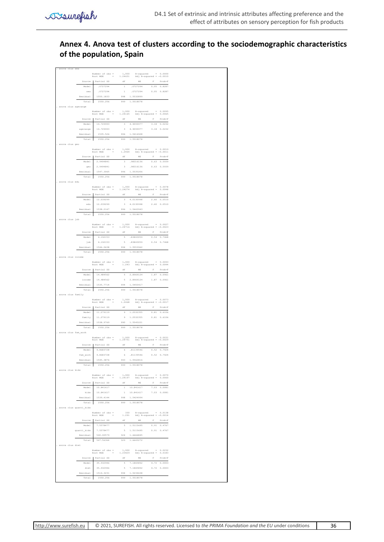# **Annex 4. Anova test of clusters according to the sociodemographic characteristics of the population, Spain**

|                          |                   | $\begin{array}{lll} {\tt Number\ of\ obs} & = \\ {\tt Root\ MSE} & = \\ \end{array}$ | $\begin{smallmatrix} 1,000 \\ 1.24631 \end{smallmatrix}$ | $\begin{tabular}{ll} R-squared & = & 0.0000 \\ \text{Adj R-squared} & = -0.0010 \end{tabular}$                                     |              |                            |
|--------------------------|-------------------|--------------------------------------------------------------------------------------|----------------------------------------------------------|------------------------------------------------------------------------------------------------------------------------------------|--------------|----------------------------|
|                          |                   |                                                                                      |                                                          |                                                                                                                                    |              |                            |
|                          | Source<br>Model   | Partial SS                                                                           | df<br>$\mathbf{1}$                                       | MS                                                                                                                                 | $\mathbb F$  | Prob>F                     |
|                          | sex               | .0727294<br>.0727294                                                                 | $\mathbf{1}$                                             | .0727294<br>.0727294                                                                                                               |              | 0.05 0.8287<br>0.05 0.8287 |
|                          | Residual          | 1550.1833                                                                            | 998                                                      | 1.5532899                                                                                                                          |              |                            |
|                          | Total             | 1550.256                                                                             | 999                                                      | 1.5518078                                                                                                                          |              |                            |
|                          |                   |                                                                                      |                                                          |                                                                                                                                    |              |                            |
| . anova clus agerange    |                   |                                                                                      |                                                          |                                                                                                                                    |              |                            |
|                          |                   | $\begin{array}{lll} {\tt Number\ of\ obs} & = \\ {\tt Root\ MSE} & = \\ \end{array}$ | $\begin{smallmatrix} 1,000 \\ 1.24165 \end{smallmatrix}$ | $\begin{tabular}{ll} R-squared & = \\ \text{Adj R-squared} & = \\ \end{tabular}$                                                   |              | $0.0095$<br>$0.0065$       |
|                          | Source            | Partial SS                                                                           | df                                                       | MS                                                                                                                                 | $\mathbb F$  | Prob>F                     |
|                          | Model             | 14.729993                                                                            | $\overline{3}$                                           | 4.9099977                                                                                                                          | 3.18         | 0.0232                     |
|                          | agerange          | 14.729993                                                                            | $\,$ 3                                                   | 4.9099977                                                                                                                          |              | 3.18 0.0232                |
|                          | Residual          | 1535.526                                                                             | 996                                                      | 1.5416928                                                                                                                          |              |                            |
|                          | Total             | 1550.256                                                                             | 999                                                      | 1.5518078                                                                                                                          |              |                            |
| . anova clus geo         |                   |                                                                                      |                                                          |                                                                                                                                    |              |                            |
|                          |                   | $\begin{array}{lll} {\tt Number\ of\ obs} & = \\ {\tt Root\ MSE} & = \\ \end{array}$ | $1,000$<br>$1.2464$                                      | R-squared                                                                                                                          |              | 0.0019                     |
|                          |                   |                                                                                      |                                                          | Adj R-squared = $-0.0011$                                                                                                          |              |                            |
|                          | Source            | Partial SS                                                                           | df                                                       | MS                                                                                                                                 | $\mathbb F$  | Prob>F                     |
|                          | Model             | 2.9494841                                                                            | $\overline{\mathbf{3}}$                                  | .98316136                                                                                                                          |              | 0.63 0.5939                |
|                          | geo               | 2.9494841                                                                            | $\overline{3}$                                           | .98316136                                                                                                                          |              | 0.63 0.5939                |
|                          | Residual          | 1547.3065                                                                            | 996                                                      | 1.5535206                                                                                                                          |              |                            |
|                          | Total             | 1550.256                                                                             | 999                                                      | 1.5518078                                                                                                                          |              |                            |
| . anova clus edu         |                   |                                                                                      |                                                          |                                                                                                                                    |              |                            |
|                          |                   | $\begin{array}{lll} {\tt Number\ of\ obs} & = \\ {\tt Root\ MSE} & = \\ \end{array}$ | $1,000$<br>1.24274                                       | $\begin{array}{ll} \texttt{R-squared} & = \\ \texttt{Adj R-squared} & = \end{array}$                                               |              | 0.0078<br>0.0048           |
|                          | Source            | Partial SS                                                                           | df                                                       | MS                                                                                                                                 | $\mathbb F$  | Prob>F                     |
|                          | Model             | 12.039299                                                                            | $\mathbf 3$                                              | 4.0130998                                                                                                                          | 2.60         | 0.0510                     |
|                          | edu               | 12.039299                                                                            | $\,$ 3                                                   | 4.0130998                                                                                                                          |              | 2.60 0.0510                |
|                          | Residual          | 1538.2167                                                                            | 996                                                      | 1.5443943                                                                                                                          |              |                            |
|                          |                   | 1550.256                                                                             |                                                          |                                                                                                                                    |              |                            |
|                          | Total             |                                                                                      | 999                                                      | 1.5518078                                                                                                                          |              |                            |
| . anova clus job         |                   |                                                                                      |                                                          |                                                                                                                                    |              |                            |
|                          |                   | $\begin{array}{lll} {\tt Number\ of\ obs} & = \\ {\tt Root\ MSE} & = \\ \end{array}$ | $1,000$<br>$1.24716$                                     | R-squared<br>$x$ -squared = $0.0027$<br>Adj R-squared = $-0.0023$                                                                  |              | 0.0027                     |
|                          | Source            | Partial SS                                                                           | df                                                       | MS                                                                                                                                 | F            | Prob>F                     |
|                          | Model             | 4.192153                                                                             | $\overline{\mathbf{5}}$                                  | .83843059                                                                                                                          |              | 0.54 0.7468                |
|                          | job               | 4.192153                                                                             | $\mathbb S$                                              | .83843059                                                                                                                          |              | 0.54 0.7468                |
|                          | Residual          | 1546.0638                                                                            | 994                                                      | 1.5553962                                                                                                                          |              |                            |
|                          | Total             | 1550.256                                                                             | 999                                                      | 1.5518078                                                                                                                          |              |                            |
| . anova clus income      |                   |                                                                                      |                                                          |                                                                                                                                    |              |                            |
|                          |                   |                                                                                      |                                                          | R-squared                                                                                                                          |              |                            |
|                          |                   | $\begin{array}{lll} {\tt Number\ of\ obs} & = \\ {\tt Root\ MSE} & = \\ \end{array}$ | $1,000$<br>$1.243$                                       | $Adj$ R-squared =                                                                                                                  |              | $0.0093$<br>$0.0044$       |
|                          | Source            | Partial SS                                                                           | df                                                       | MS                                                                                                                                 | $\mathbf{F}$ | Prob>F                     |
|                          | Model             | 14.484562                                                                            | 5                                                        | 2.8969124                                                                                                                          | 1.87         | 0.0961                     |
|                          | income            | 14.484562                                                                            | $\overline{5}$                                           | 2.8969124                                                                                                                          |              | 1.87 0.0961                |
|                          | Residual          | 1535.7714                                                                            | 994                                                      | 1.5450417                                                                                                                          |              |                            |
|                          | Total             | 1550.256                                                                             | 999                                                      | 1.5518078                                                                                                                          |              |                            |
| . anova clus family      |                   |                                                                                      |                                                          |                                                                                                                                    |              |                            |
|                          |                   | $\begin{array}{lll} {\tt Number\ of\ obs} & = \\ {\tt Root\ MSE} & = \\ \end{array}$ | $1,000$<br>1.2468                                        | $\begin{tabular}{ll} R-squared & = & 0.0073 \\ \text{Adj R-squared} & = -0.0017 \\ \end{tabular}$                                  |              |                            |
|                          | Source            |                                                                                      | df                                                       | MS                                                                                                                                 | $\mathbb F$  | Prob>F                     |
|                          |                   | Partial SS                                                                           |                                                          |                                                                                                                                    |              |                            |
|                          | Model             |                                                                                      |                                                          |                                                                                                                                    |              | 0.81 0.6106                |
|                          |                   | 11.279119                                                                            | $_{9}$                                                   | 1.2532355                                                                                                                          |              |                            |
|                          | family            | 11.279119                                                                            | $\overline{9}$                                           | 1.2532355                                                                                                                          |              | $0.81 \t 0.6106$           |
|                          | Residual          | 1538.9769                                                                            | 990                                                      | 1.5545221                                                                                                                          |              |                            |
|                          | Total             | 1550.256                                                                             | 999                                                      | 1.5518078                                                                                                                          |              |                            |
| . anova clus fam_work    |                   |                                                                                      |                                                          |                                                                                                                                    |              |                            |
|                          |                   | $\begin{array}{lll} {\tt Number\ of\ obs} & = \\ {\tt Root\ MSE} & = \\ \end{array}$ | $\begin{smallmatrix} 1,000 \\ 1.24751 \end{smallmatrix}$ | R-squared<br>$R$ -squared = 0.0031<br>Adj $R$ -squared = -0.0029                                                                   |              |                            |
|                          | Source            | Partial SS                                                                           | df                                                       | MS                                                                                                                                 | F            | Prob>F                     |
|                          |                   |                                                                                      | 6                                                        | .81139546                                                                                                                          |              | 0.7924                     |
|                          | Model<br>fam work | 4.8683728<br>4.8683728                                                               |                                                          | 6 .81139546                                                                                                                        | 0.52         | $0.52 \t 0.7924$           |
|                          | Residual          | 1545.3876                                                                            | 993                                                      | 1.5562816                                                                                                                          |              |                            |
|                          |                   | 1550.256                                                                             |                                                          | 999 1.5518078                                                                                                                      |              |                            |
|                          | Total             |                                                                                      |                                                          |                                                                                                                                    |              |                            |
|                          |                   |                                                                                      |                                                          |                                                                                                                                    |              |                            |
|                          |                   | $\begin{array}{lll} {\tt Number\ of\ obs\ =}\\ {\tt Root\ MSE} & = \end{array}$      |                                                          | $\begin{tabular}{lcccc} 1,000 & R-squared & = & 0.0070 \\ 1.24197 & \quad \text{Adj}\ \text{R-squared} & = & 0.0060 \end{tabular}$ |              |                            |
|                          |                   | Source Partial SS                                                                    | df                                                       | MS                                                                                                                                 | $\mathbb{F}$ | Prob>F                     |
|                          | Model             | 10.841617                                                                            |                                                          | 1 10.841617                                                                                                                        |              | $7.03 - 0.0081$            |
|                          | kids              | 10.841617                                                                            |                                                          | 1 10.841617                                                                                                                        |              | 7.03 0.0081                |
| . anova clus kids        | Residual          | 1539.4144                                                                            |                                                          | 998 1.5424994                                                                                                                      |              |                            |
|                          | Total             | 1550.256                                                                             | 999                                                      | 1.5518078                                                                                                                          |              |                            |
|                          |                   |                                                                                      |                                                          |                                                                                                                                    |              |                            |
| . anova clus quanti kids |                   |                                                                                      |                                                          |                                                                                                                                    |              |                            |
|                          |                   | $\begin{array}{lll} {\tt Number\ of\ obs\ =}\\ {\tt Root\ MSE} & = \end{array}$      |                                                          | 330 $R$ -squared = 0.0138<br>1.291 Adj $R$ -squared = -0.0014                                                                      |              |                            |
|                          |                   | Source Partial SS                                                                    | df                                                       | MS                                                                                                                                 | F            | Prob>F                     |
|                          | Model             | 7.5578477                                                                            | $\sim$                                                   | 1.5115695                                                                                                                          |              | 0.91 0.4767                |
|                          | quanti_kids       | 7.5578477                                                                            |                                                          | 5 1.5115695                                                                                                                        |              | 0.91 0.4767                |
|                          | Residual          | 540.00579                                                                            |                                                          | 324 1.6666845                                                                                                                      |              |                            |
|                          |                   | Total 547.56364                                                                      |                                                          | 329 1.6643272                                                                                                                      |              |                            |
| . anova clus diet        |                   |                                                                                      |                                                          |                                                                                                                                    |              |                            |
|                          |                   |                                                                                      |                                                          |                                                                                                                                    |              |                            |
|                          |                   | $\begin{array}{lll} {\tt Number\ of\ obs\ =}\\ {\tt Root\ MSE} & = \end{array}$      |                                                          | $\begin{tabular}{lcccc} 1,000 & R-squared & = & 0.0232 \\ 1.23429 & \text{Adj R-squared} & = & 0.0183 \end{tabular}$               |              |                            |
|                          |                   | Source Partial SS                                                                    | df                                                       | $_{\rm MS}$                                                                                                                        | $\mathbb{F}$ | Prob > F                   |
|                          | Model             | 35.932946                                                                            | $-5$                                                     | 7.1865892                                                                                                                          |              | 4.72 0.0003                |
|                          | $_{\text{dist}}$  | 35.932946                                                                            |                                                          | 5 7.1865892                                                                                                                        |              | $4.72 - 0.0003$            |
|                          | Residual          | 1514.3231<br>Total 1550.256                                                          | 999                                                      | 994 1.5234638<br>1.5518078                                                                                                         |              |                            |